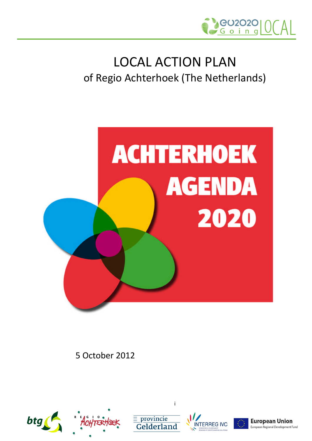

## LOCAL ACTION PLAN of Regio Achterhoek (The Netherlands)



5 October 2012





i





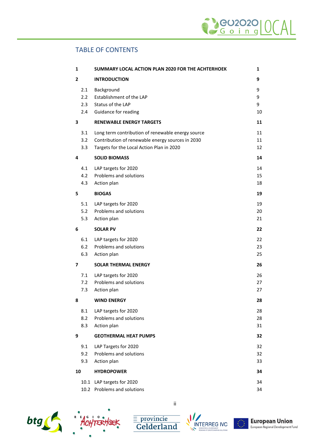### TABLE OF CONTENTS

| $\mathbf{1}$   |                          | SUMMARY LOCAL ACTION PLAN 2020 FOR THE ACHTERHOEK                                                                                                  | 1                 |
|----------------|--------------------------|----------------------------------------------------------------------------------------------------------------------------------------------------|-------------------|
| $\overline{2}$ |                          | <b>INTRODUCTION</b>                                                                                                                                | 9                 |
|                | 2.1<br>2.2<br>2.3<br>2.4 | Background<br>Establishment of the LAP<br>Status of the LAP<br>Guidance for reading                                                                | 9<br>9<br>9<br>10 |
| 3              |                          | <b>RENEWABLE ENERGY TARGETS</b>                                                                                                                    | 11                |
|                | 3.1<br>3.2<br>3.3        | Long term contribution of renewable energy source<br>Contribution of renewable energy sources in 2030<br>Targets for the Local Action Plan in 2020 | 11<br>11<br>12    |
| 4              |                          | <b>SOLID BIOMASS</b>                                                                                                                               | 14                |
|                | 4.1<br>4.2<br>4.3        | LAP targets for 2020<br>Problems and solutions<br>Action plan                                                                                      | 14<br>15<br>18    |
| 5              |                          | <b>BIOGAS</b>                                                                                                                                      | 19                |
|                | 5.1<br>5.2<br>5.3        | LAP targets for 2020<br>Problems and solutions<br>Action plan                                                                                      | 19<br>20<br>21    |
| 6              |                          | <b>SOLAR PV</b>                                                                                                                                    | 22                |
|                | 6.1<br>6.2<br>6.3        | LAP targets for 2020<br>Problems and solutions<br>Action plan                                                                                      | 22<br>23<br>25    |
| 7              |                          | <b>SOLAR THERMAL ENERGY</b>                                                                                                                        | 26                |
|                | 7.1<br>7.2<br>7.3        | LAP targets for 2020<br>Problems and solutions<br>Action plan                                                                                      | 26<br>27<br>27    |
| 8              |                          | <b>WIND ENERGY</b>                                                                                                                                 | 28                |
|                | 8.1<br>8.2<br>8.3        | LAP targets for 2020<br>Problems and solutions<br>Action plan                                                                                      | 28<br>28<br>31    |
| 9              |                          | <b>GEOTHERMAL HEAT PUMPS</b>                                                                                                                       | 32                |
|                | 9.1<br>9.2<br>9.3        | LAP Targets for 2020<br>Problems and solutions<br>Action plan                                                                                      | 32<br>32<br>33    |
| 10             |                          | <b>HYDROPOWER</b>                                                                                                                                  | 34                |
|                | 10.2                     | 10.1 LAP targets for 2020<br>Problems and solutions                                                                                                | 34<br>34          |



ACHTERHOE

ii





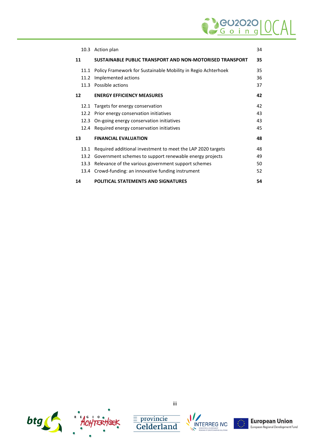# Seu2020

|    |      | 10.3 Action plan                                              | 34 |
|----|------|---------------------------------------------------------------|----|
| 11 |      | SUSTAINABLE PUBLIC TRANSPORT AND NON-MOTORISED TRANSPORT      | 35 |
|    | 11.1 | Policy Framework for Sustainable Mobility in Regio Achterhoek | 35 |
|    | 11.2 | Implemented actions                                           | 36 |
|    | 11.3 | Possible actions                                              | 37 |
| 12 |      | <b>ENERGY EFFICIENCY MEASURES</b>                             | 42 |
|    | 12.1 | Targets for energy conservation                               | 42 |
|    | 12.2 | Prior energy conservation initiatives                         | 43 |
|    | 12.3 | On-going energy conservation initiatives                      | 43 |
|    | 12.4 | Required energy conservation initiatives                      | 45 |
| 13 |      | <b>FINANCIAL EVALUATION</b>                                   | 48 |
|    | 13.1 | Required additional investment to meet the LAP 2020 targets   | 48 |
|    | 13.2 | Government schemes to support renewable energy projects       | 49 |
|    | 13.3 | Relevance of the various government support schemes           | 50 |
|    | 13.4 | Crowd-funding: an innovative funding instrument               | 52 |
| 14 |      | <b>POLITICAL STATEMENTS AND SIGNATURES</b>                    | 54 |



iii

 $\begin{tabular}{c} \hline \hline \textcolor{red}{\overline{\mathbf{=}}~\text{provincie}}\\ \hline \textbf{Gelderland} \end{tabular}$ 





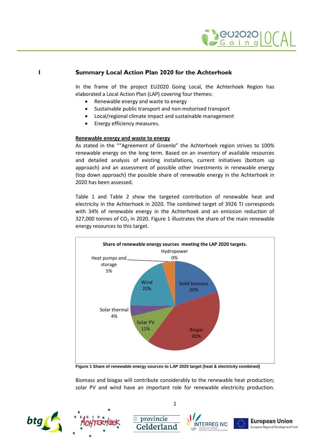

### **1 Summary Local Action Plan 2020 for the Achterhoek**

<span id="page-3-0"></span>In the frame of the project EU2020 Going Local, the Achterhoek Region has elaborated a Local Action Plan (LAP) covering four themes:

- Renewable energy and waste to energy
- Sustainable public transport and non-motorised transport
- Local/regional climate impact and sustainable management
- Energy efficiency measures.

### **Renewable energy and waste to energy**

As stated in the ""Agreement of Groenlo" the Achterhoek region strives to 100% renewable energy on the long term. Based on an inventory of available resources and detailed analysis of existing installations, current initiatives (bottom up approach) and an assessment of possible other investments in renewable energy (top down approach) the possible share of renewable energy in the Achterhoek in 2020 has been assessed.

[Table 1](#page-4-0) and [Table 2](#page-4-1) show the targeted contribution of renewable heat and electricity in the Achterhoek in 2020. The combined target of 3926 TJ corresponds with 34% of renewable energy in the Achterhoek and an emission reduction of 327,000 tonnes of  $CO<sub>2</sub>$  in 2020. [Figure 1](#page-3-1) illustrates the share of the main renewable energy resources to this target.



<span id="page-3-1"></span>**Figure 1 Share of renewable energy sources to LAP 2020 target (heat & electricity combined)**

Biomass and biogas will contribute considerably to the renewable heat production; solar PV and wind have an important role for renewable electricity production.













 $\equiv$  provincie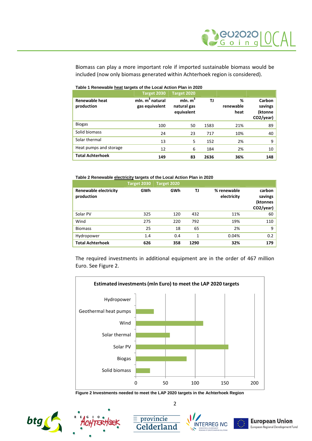Biomass can play a more important role if imported sustainable biomass would be included (now only biomass generated within Achterhoek region is considered).

|                                     | Target 2030                          | Target 2020                             |           |                        |                                           |
|-------------------------------------|--------------------------------------|-----------------------------------------|-----------|------------------------|-------------------------------------------|
| <b>Renewable heat</b><br>production | mln. $m^3$ natural<br>gas equivalent | mln. $m^3$<br>natural gas<br>equivalent | <b>TJ</b> | %<br>renewable<br>heat | Carbon<br>savings<br>(ktonne<br>CO2/year) |
| <b>Biogas</b>                       | 100                                  | 50                                      | 1583      | 21%                    | 89                                        |
| Solid biomass                       | 24                                   | 23                                      | 717       | 10%                    | 40                                        |
| Solar thermal                       | 13                                   | 5                                       | 152       | 2%                     | 9                                         |
| Heat pumps and storage              | 12                                   | 6                                       | 184       | 2%                     | 10                                        |
| <b>Total Achterhoek</b>             | 149                                  | 83                                      | 2636      | 36%                    | 148                                       |

#### <span id="page-4-0"></span>**Table 1 Renewable heat targets of the Local Action Plan in 2020**

#### <span id="page-4-1"></span>**Table 2 Renewable electricity targets of the Local Action Plan in 2020**

|                                     | Target 2030 | Target 2020 |      |                            |                                            |
|-------------------------------------|-------------|-------------|------|----------------------------|--------------------------------------------|
| Renewable electricity<br>production | GWh         | GWh         | TJ   | % renewable<br>electricity | carbon<br>savings<br>(ktonnes<br>CO2/year) |
| Solar PV                            | 325         | 120         | 432  | 11%                        | 60                                         |
| Wind                                | 275         | 220         | 792  | 19%                        | 110                                        |
| <b>Biomass</b>                      | 25          | 18          | 65   | 2%                         | 9                                          |
| Hydropower                          | 1.4         | 0.4         | 1    | 0.04%                      | 0.2                                        |
| <b>Total Achterhoek</b>             | 626         | 358         | 1290 | 32%                        | 179                                        |

The required investments in additional equipment are in the order of 467 million Euro.See [Figure 2](#page-4-2).



<span id="page-4-2"></span>**Figure 2 Investments needed to meet the LAP 2020 targets in the Achterhoek Region**

2











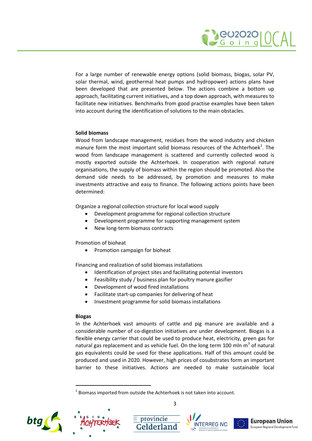

For a large number of renewable energy options (solid biomass, biogas, solar PV, solar thermal, wind, geothermal heat pumps and hydropower) actions plans have been developed that are presented below. The actions combine a bottom up approach, facilitating current initiatives, and a top down approach, with measures to facilitate new initiatives. Benchmarks from good practise examples have been taken into account during the identification of solutions to the main obstacles.

### **Solid biomass**

Wood from landscape management, residues from the wood industry and chicken manure form the most important solid biomass resources of the Achterhoek $^{1}$ [.](#page-5-0) The wood from landscape management is scattered and currently collected wood is mostly exported outside the Achterhoek. In cooperation with regional nature organisations, the supply of biomass within the region should be promoted. Also the demand side needs to be addressed, by promotion and measures to make investments attractive and easy to finance. The following actions points have been determined:

Organize a regional collection structure for local wood supply

- Development programme for regional collection structure
- Development programme for supporting management system
- New long-term biomass contracts

Promotion of bioheat

• Promotion campaign for bioheat

Financing and realization of solid biomass installations

- Identification of project sites and facilitating potential investors
- Feasibility study / business plan for poultry manure gasifier
- Development of wood fired installations
- Facilitate start-up companies for delivering of heat
- Investment programme for solid biomass installations

### **Biogas**

In the Achterhoek vast amounts of cattle and pig manure are available and a considerable number of co-digestion initiatives are under development. Biogas is a flexible energy carrier that could be used to produce heat, electricity, green gas for natural gas replacement and as vehicle fuel. On the long term 100 mln m<sup>3</sup> of natural gas equivalents could be used for these applications. Half of this amount could be produced and used in 2020. However, high prices of cosubstrates form an important barrier to these initiatives. Actions are needed to make sustainable local

**E** provincie













<span id="page-5-0"></span> $^1$  Biomass imported from outside the Achterhoek is not taken into account.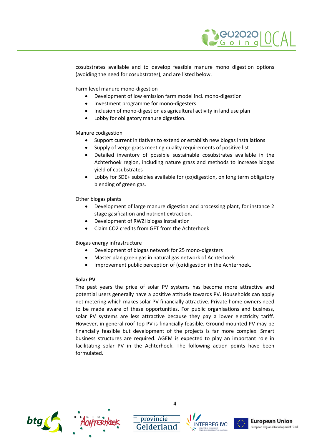

cosubstrates available and to develop feasible manure mono digestion options (avoiding the need for cosubstrates), and are listed below.

Farm level manure mono-digestion

- Development of low emission farm model incl. mono-digestion
- Investment programme for mono-digesters
- Inclusion of mono-digestion as agricultural activity in land use plan
- Lobby for obligatory manure digestion.

Manure codigestion

- Support current initiatives to extend or establish new biogas installations
- Supply of verge grass meeting quality requirements of positive list
- Detailed inventory of possible sustainable cosubstrates available in the Achterhoek region, including nature grass and methods to increase biogas yield of cosubstrates
- Lobby for SDE+ subsidies available for (co)digestion, on long term obligatory blending of green gas.

Other biogas plants

- Development of large manure digestion and processing plant, for instance 2 stage gasification and nutrient extraction.
- Development of RWZI biogas installation
- Claim CO2 credits from GFT from the Achterhoek

Biogas energy infrastructure

- Development of biogas network for 25 mono-digesters
- Master plan green gas in natural gas network of Achterhoek
- Improvement public perception of (co)digestion in the Achterhoek.

### **Solar PV**

The past years the price of solar PV systems has become more attractive and potential users generally have a positive attitude towards PV. Households can apply net metering which makes solar PV financially attractive. Private home owners need to be made aware of these opportunities. For public organisations and business, solar PV systems are less attractive because they pay a lower electricity tariff. However, in general roof top PV is financially feasible. Ground mounted PV may be financially feasible but development of the projects is far more complex. Smart business structures are required. AGEM is expected to play an important role in facilitating solar PV in the Achterhoek. The following action points have been formulated.





4

 $\equiv$  provincie





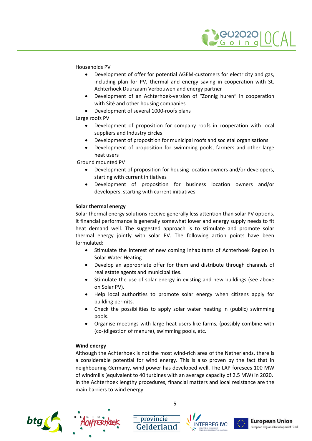

Households PV

- Development of offer for potential AGEM-customers for electricity and gas, including plan for PV, thermal and energy saving in cooperation with St. Achterhoek Duurzaam Verbouwen and energy partner
- Development of an Achterhoek-version of "Zonnig huren" in cooperation with Sité and other housing companies
- Development of several 1000-roofs plans

Large roofs PV

- Development of proposition for company roofs in cooperation with local suppliers and Industry circles
- Development of proposition for municipal roofs and societal organisations
- Development of proposition for swimming pools, farmers and other large heat users

Ground mounted PV

- Development of proposition for housing location owners and/or developers, starting with current initiatives
- Development of proposition for business location owners and/or developers, starting with current initiatives

### **Solar thermal energy**

Solar thermal energy solutions receive generally less attention than solar PV options. It financial performance is generally somewhat lower and energy supply needs to fit heat demand well. The suggested approach is to stimulate and promote solar thermal energy jointly with solar PV. The following action points have been formulated:

- Stimulate the interest of new coming inhabitants of Achterhoek Region in Solar Water Heating
- Develop an appropriate offer for them and distribute through channels of real estate agents and municipalities.
- Stimulate the use of solar energy in existing and new buildings (see above on Solar PV).
- Help local authorities to promote solar energy when citizens apply for building permits.
- Check the possibilities to apply solar water heating in (public) swimming pools.
- Organise meetings with large heat users like farms, (possibly combine with (co-)digestion of manure), swimming pools, etc.

### **Wind energy**

Although the Achterhoek is not the most wind-rich area of the Netherlands, there is a considerable potential for wind energy. This is also proven by the fact that in neighbouring Germany, wind power has developed well. The LAP foresees 100 MW of windmills (equivalent to 40 turbines with an average capacity of 2.5 MW) in 2020. In the Achterhoek lengthy procedures, financial matters and local resistance are the main barriers to wind energy.





5

 $\equiv$  provincie





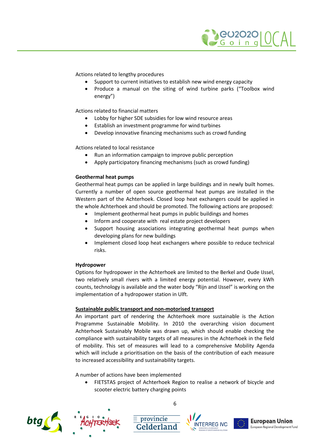

Actions related to lengthy procedures

- Support to current initiatives to establish new wind energy capacity
- Produce a manual on the siting of wind turbine parks ("Toolbox wind energy")

Actions related to financial matters

- Lobby for higher SDE subsidies for low wind resource areas
- Establish an investment programme for wind turbines
- Develop innovative financing mechanisms such as crowd funding

Actions related to local resistance

- Run an information campaign to improve public perception
- Apply participatory financing mechanisms (such as crowd funding)

### **Geothermal heat pumps**

Geothermal heat pumps can be applied in large buildings and in newly built homes. Currently a number of open source geothermal heat pumps are installed in the Western part of the Achterhoek. Closed loop heat exchangers could be applied in the whole Achterhoek and should be promoted. The following actions are proposed:

- Implement geothermal heat pumps in public buildings and homes
- Inform and cooperate with real estate project developers
- Support housing associations integrating geothermal heat pumps when developing plans for new buildings
- Implement closed loop heat exchangers where possible to reduce technical risks.

### **Hydropower**

Options for hydropower in the Achterhoek are limited to the Berkel and Oude IJssel, two relatively small rivers with a limited energy potential. However, every kWh counts, technology is available and the water body "Rijn and IJssel" is working on the implementation of a hydropower station in Ulft.

### **Sustainable public transport and non-motorised transport**

An important part of rendering the Achterhoek more sustainable is the Action Programme Sustainable Mobility. In 2010 the overarching vision document Achterhoek Sustainably Mobile was drawn up, which should enable checking the compliance with sustainability targets of all measures in the Achterhoek in the field of mobility. This set of measures will lead to a comprehensive Mobility Agenda which will include a prioritisation on the basis of the contribution of each measure to increased accessibility and sustainability targets.

A number of actions have been implemented

 FIETSTAS project of Achterhoek Region to realise a network of bicycle and scooter electric battery charging points







 $\equiv$  provincie





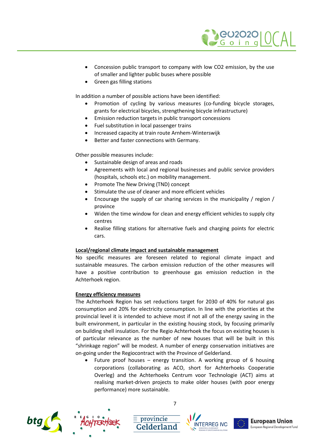

- Concession public transport to company with low CO2 emission, by the use of smaller and lighter public buses where possible
- Green gas filling stations

In addition a number of possible actions have been identified:

- Promotion of cycling by various measures (co-funding bicycle storages, grants for electrical bicycles, strengthening bicycle infrastructure)
- Emission reduction targets in public transport concessions
- Fuel substitution in local passenger trains
- Increased capacity at train route Arnhem-Winterswijk
- Better and faster connections with Germany.

Other possible measures include:

- Sustainable design of areas and roads
- Agreements with local and regional businesses and public service providers (hospitals, schools etc.) on mobility management.
- Promote The New Driving (TND) concept
- Stimulate the use of cleaner and more efficient vehicles
- Encourage the supply of car sharing services in the municipality / region / province
- Widen the time window for clean and energy efficient vehicles to supply city centres
- Realise filling stations for alternative fuels and charging points for electric cars.

### **Local/regional climate impact and sustainable management**

No specific measures are foreseen related to regional climate impact and sustainable measures. The carbon emission reduction of the other measures will have a positive contribution to greenhouse gas emission reduction in the Achterhoek region.

### **Energy efficiency measures**

The Achterhoek Region has set reductions target for 2030 of 40% for natural gas consumption and 20% for electricity consumption. In line with the priorities at the provincial level it is intended to achieve most if not all of the energy saving in the built environment, in particular in the existing housing stock, by focusing primarily on building shell insulation. For the Regio Achterhoek the focus on existing houses is of particular relevance as the number of new houses that will be built in this "shrinkage region" will be modest. A number of energy conservation initiatives are on-going under the Regiocontract with the Province of Gelderland.

 Future proof houses – energy transition. A working group of 6 housing corporations (collaborating as ACO, short for Achterhoeks Cooperatie Overleg) and the Achterhoeks Centrum voor Technologie (ACT) aims at realising market-driven projects to make older houses (with poor energy performance) more sustainable.







 $\equiv$  provincie



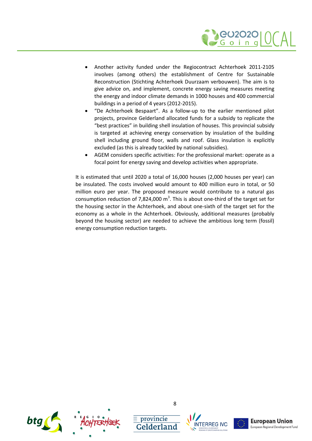

- Another activity funded under the Regiocontract Achterhoek 2011-2105 involves (among others) the establishment of Centre for Sustainable Reconstruction (Stichting Achterhoek Duurzaam verbouwen). The aim is to give advice on, and implement, concrete energy saving measures meeting the energy and indoor climate demands in 1000 houses and 400 commercial buildings in a period of 4 years (2012-2015).
- "De Achterhoek Bespaart". As a follow-up to the earlier mentioned pilot projects, province Gelderland allocated funds for a subsidy to replicate the "best practices" in building shell insulation of houses. This provincial subsidy is targeted at achieving energy conservation by insulation of the building shell including ground floor, walls and roof. Glass insulation is explicitly excluded (as this is already tackled by national subsidies).
- AGEM considers specific activities: For the professional market: operate as a focal point for energy saving and develop activities when appropriate.

It is estimated that until 2020 a total of 16,000 houses (2,000 houses per year) can be insulated. The costs involved would amount to 400 million euro in total, or 50 million euro per year. The proposed measure would contribute to a natural gas consumption reduction of 7,824,000  $m^3$ . This is about one-third of the target set for the housing sector in the Achterhoek, and about one-sixth of the target set for the economy as a whole in the Achterhoek. Obviously, additional measures (probably beyond the housing sector) are needed to achieve the ambitious long term (fossil) energy consumption reduction targets.



 $\equiv$  provincie



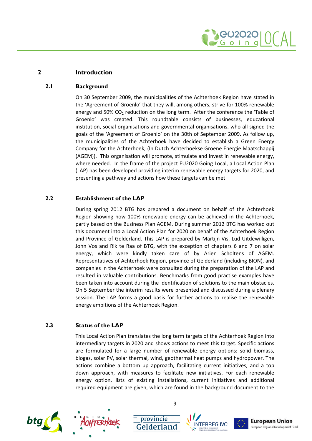

### **2 Introduction**

### **2.1 Background**

<span id="page-11-1"></span><span id="page-11-0"></span>On 30 September 2009, the municipalities of the Achterhoek Region have stated in the 'Agreement of Groenlo' that they will, among others, strive for 100% renewable energy and 50% CO<sub>2</sub> reduction on the long term. After the conference the 'Table of Groenlo' was created. This roundtable consists of businesses, educational institution, social organisations and governmental organisations, who all signed the goals of the 'Agreement of Groenlo' on the 30th of September 2009. As follow up, the municipalities of the Achterhoek have decided to establish a Green Energy Company for the Achterhoek, (In Dutch Achterhoekse Groene Energie Maatschappij (AGEM)). This organisation will promote, stimulate and invest in renewable energy, where needed. In the frame of the project EU2020 Going Local, a Local Action Plan (LAP) has been developed providing interim renewable energy targets for 2020, and presenting a pathway and actions how these targets can be met.

### **2.2 Establishment of the LAP**

<span id="page-11-2"></span>During spring 2012 BTG has prepared a document on behalf of the Achterhoek Region showing how 100% renewable energy can be achieved in the Achterhoek, partly based on the Business Plan AGEM. During summer 2012 BTG has worked out this document into a Local Action Plan for 2020 on behalf of the Achterhoek Region and Province of Gelderland. This LAP is prepared by Martijn Vis, Lud Uitdewilligen, John Vos and Rik te Raa of BTG, with the exception of chapters [6 a](#page-24-0)nd [7](#page-28-0) on solar energy, which were kindly taken care of by Arien Scholtens of AGEM. Representatives of Achterhoek Region, province of Gelderland (including BION), and companies in the Achterhoek were consulted during the preparation of the LAP and resulted in valuable contributions. Benchmarks from good practise examples have been taken into account during the identification of solutions to the main obstacles. On 5 September the interim results were presented and discussed during a plenary session. The LAP forms a good basis for further actions to realise the renewable energy ambitions of the Achterhoek Region.

### **2.3 Status of the LAP**

<span id="page-11-3"></span>This Local Action Plan translates the long term targets of the Achterhoek Region into intermediary targets in 2020 and shows actions to meet this target. Specific actions are formulated for a large number of renewable energy options: solid biomass, biogas, solar PV, solar thermal, wind, geothermal heat pumps and hydropower. The actions combine a bottom up approach, facilitating current initiatives, and a top down approach, with measures to facilitate new initiatives. For each renewable energy option, lists of existing installations, current initiatives and additional required equipment are given, which are found in the background document to the







 $\equiv$  provincie





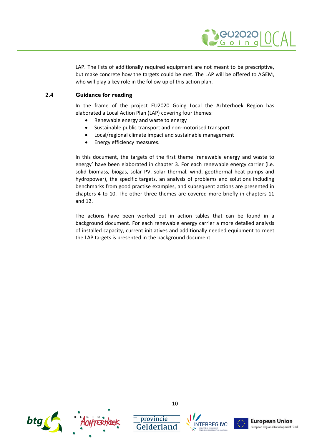

LAP. The lists of additionally required equipment are not meant to be prescriptive, but make concrete how the targets could be met. The LAP will be offered to AGEM, who will play a key role in the follow up of this action plan.

### **2.4 Guidance for reading**

<span id="page-12-0"></span>In the frame of the project EU2020 Going Local the Achterhoek Region has elaborated a Local Action Plan (LAP) covering four themes:

- Renewable energy and waste to energy
- Sustainable public transport and non-motorised transport
- Local/regional climate impact and sustainable management
- **•** Energy efficiency measures.

In this document, the targets of the first theme 'renewable energy and waste to energy' have been elaborated in chapter [3](#page-13-0). For each renewable energy carrier (i.e. solid biomass, biogas, solar PV, solar thermal, wind, geothermal heat pumps and hydropower), the specific targets, an analysis of problems and solutions including benchmarks from good practise examples, and subsequent actions are presented in chapters [4](#page-16-0)to [10](#page-36-0). The other three themes are covered more briefly in chapters [11](#page-37-0) and [12.](#page-44-0)

The actions have been worked out in action tables that can be found in a background document. For each renewable energy carrier a more detailed analysis of installed capacity, current initiatives and additionally needed equipment to meet the LAP targets is presented in the background document.



10

 $\equiv$  provincie





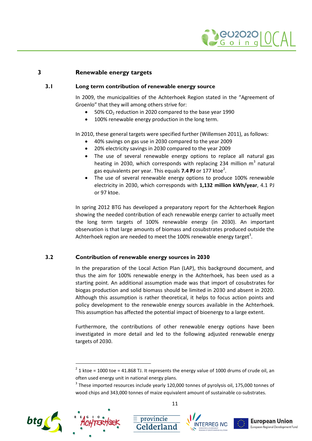

### **3 Renewable energy targets**

### **3.1 Long term contribution of renewable energy source**

<span id="page-13-1"></span><span id="page-13-0"></span>In 2009, the municipalities of the Achterhoek Region stated in the "Agreement of Groenlo" that they will among others strive for:

- $\bullet$  50% CO<sub>2</sub> reduction in 2020 compared to the base year 1990
- 100% renewable energy production in the long term.

In 2010, these general targets were specified further (Willemsen 2011), as follows:

- 40% savings on gas use in 2030 compared to the year 2009
- 20% electricity savings in 2030 compared to the year 2009
- The use of several renewable energy options to replace all natural gas heating in 2030, which corresponds with replacing 234 million  $m^3$  natural gas equivalents per year[.](#page-13-3) This equals **7.4 PJ** or 177 ktoe<sup>2</sup>.
- The use of several renewable energy options to produce 100% renewable electricity in 2030, which corresponds with **1,132 million kWh/year**, 4.1 PJ or 97 ktoe.

In spring 2012 BTG has developed a preparatory report for the Achterhoek Region showing the needed contribution of each renewable energy carrier to actually meet the long term targets of 100% renewable energy (in 2030). An important observation is that large amounts of biomass and cosubstrates produced outside the Achterhoek region are needed to meet the 100% renewable energy target<sup>3</sup>.

### **3.2 Contribution of renewable energy sources in 2030**

<span id="page-13-2"></span>In the preparation of the Local Action Plan (LAP), this background document, and thus the aim for 100% renewable energy in the Achterhoek, has been used as a starting point. An additional assumption made was that import of cosubstrates for biogas production and solid biomass should be limited in 2030 and absent in 2020. Although this assumption is rather theoretical, it helps to focus action points and policy development to the renewable energy sources available in the Achterhoek. This assumption has affected the potential impact of bioenergy to a large extent.

Furthermore, the contributions of other renewable energy options have been investigated in more detail and led to the following adjusted renewable energy targets of 2030.

 $^3$  These imported resources include yearly 120,000 tonnes of pyrolysis oil, 175,000 tonnes of wood chips and 343,000 tonnes of maize equivalent amount of sustainable co-substrates.





 $\equiv$  provincie







<span id="page-13-3"></span> $2^{2}$  1 ktoe = 1000 toe = 41.868 TJ. It represents the energy value of 1000 drums of crude oil, an often used energy unit in national energy plans.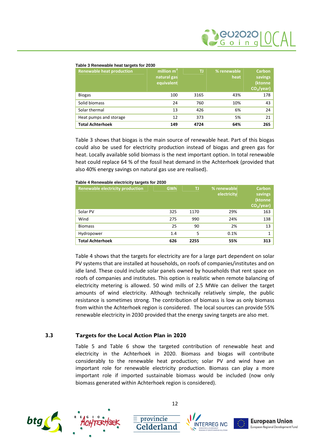#### <span id="page-14-1"></span>**Table 3 Renewable heat targets for 2030**

| <b>Renewable heat production</b> | million m <sup>3</sup><br>natural gas<br>equivalent | IJ   | % renewable<br>heat | <b>Carbon</b><br>savings<br>(ktonne<br>CO <sub>2</sub> /year) |
|----------------------------------|-----------------------------------------------------|------|---------------------|---------------------------------------------------------------|
| <b>Biogas</b>                    | 100                                                 | 3165 | 43%                 | 178                                                           |
| Solid biomass                    | 24                                                  | 760  | 10%                 | 43                                                            |
| Solar thermal                    | 13                                                  | 426  | 6%                  | 24                                                            |
| Heat pumps and storage           | 12                                                  | 373  | 5%                  | 21                                                            |
| <b>Total Achterhoek</b>          | 149                                                 | 4724 | 64%                 | 265                                                           |

[Table 3](#page-14-1) shows that biogas is the main source of renewable heat. Part of this biogas could also be used for electricity production instead of biogas and green gas for heat. Locally available solid biomass is the next important option. In total renewable heat could replace 64 % of the fossil heat demand in the Achterhoek (provided that also 40% energy savings on natural gas use are realised).

| <b>Renewable electricity production</b> | <b>GWh</b> | TJ   | % renewable<br>electricity | <b>Carbon</b><br>savings<br>(ktonne<br>$CO2/year$ ) |
|-----------------------------------------|------------|------|----------------------------|-----------------------------------------------------|
| Solar PV                                | 325        | 1170 | 29%                        | 163                                                 |
| Wind                                    | 275        | 990  | 24%                        | 138                                                 |
| <b>Biomass</b>                          | 25         | 90   | 2%                         | 13                                                  |
| Hydropower                              | 1.4        | 5    | 0.1%                       | 1                                                   |
| <b>Total Achterhoek</b>                 | 626        | 2255 | 55%                        | 313                                                 |

#### <span id="page-14-2"></span>**Table 4 Renewable electricity targets for 2030**

[Table 4](#page-14-2) shows that the targets for electricity are for a large part dependent on solar PV systems that are installed at households, on roofs of companies/institutes and on idle land. These could include solar panels owned by households that rent space on roofs of companies and institutes. This option is realistic when remote balancing of electricity metering is allowed. 50 wind mills of 2.5 MWe can deliver the target amounts of wind electricity. Although technically relatively simple, the public resistance is sometimes strong. The contribution of biomass is low as only biomass from within the Achterhoek region is considered. The local sources can provide 55% renewable electricity in 2030 provided that the energy saving targets are also met.

### **3.3 Targets for the Local Action Plan in 2020**

<span id="page-14-0"></span>[Table 5](#page-15-0) and [Table 6](#page-15-1) show the targeted contribution of renewable heat and electricity in the Achterhoek in 2020. Biomass and biogas will contribute considerably to the renewable heat production; solar PV and wind have an important role for renewable electricity production. Biomass can play a more important role if imported sustainable biomass would be included (now only biomass generated within Achterhoek region is considered).







 $\equiv$  provincie





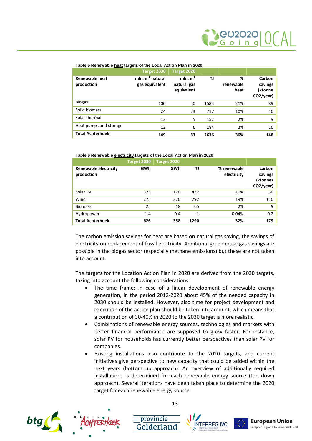#### <span id="page-15-0"></span>**Table 5 Renewable heat targets of the Local Action Plan in 2020**

|                                     | Target 2030                         | Target 2020                             |      |                        |                                           |
|-------------------------------------|-------------------------------------|-----------------------------------------|------|------------------------|-------------------------------------------|
| <b>Renewable heat</b><br>production | $min. m3$ natural<br>gas equivalent | mln. $m^3$<br>natural gas<br>equivalent | TJ   | %<br>renewable<br>heat | Carbon<br>savings<br>(ktonne<br>CO2/year) |
| <b>Biogas</b>                       | 100                                 | 50                                      | 1583 | 21%                    | 89                                        |
| Solid biomass                       | 24                                  | 23                                      | 717  | 10%                    | 40                                        |
| Solar thermal                       | 13                                  | 5                                       | 152  | 2%                     | 9                                         |
| Heat pumps and storage              | 12                                  | 6                                       | 184  | 2%                     | 10                                        |
| <b>Total Achterhoek</b>             | 149                                 | 83                                      | 2636 | 36%                    | 148                                       |

#### <span id="page-15-1"></span>**Table 6 Renewable electricity targets of the Local Action Plan in 2020**

|                                            | Target 2030 | Target 2020 |      |                            |                                            |
|--------------------------------------------|-------------|-------------|------|----------------------------|--------------------------------------------|
| <b>Renewable electricity</b><br>production | GWh         | GWh         | TJ   | % renewable<br>electricity | carbon<br>savings<br>(ktonnes<br>CO2/year) |
| Solar PV                                   | 325         | 120         | 432  | 11%                        | 60                                         |
| Wind                                       | 275         | 220         | 792  | 19%                        | 110                                        |
| <b>Biomass</b>                             | 25          | 18          | 65   | 2%                         | 9                                          |
| Hydropower                                 | 1.4         | 0.4         | 1    | 0.04%                      | 0.2                                        |
| <b>Total Achterhoek</b>                    | 626         | 358         | 1290 | 32%                        | 179                                        |

The carbon emission savings for heat are based on natural gas saving, the savings of electricity on replacement of fossil electricity. Additional greenhouse gas savings are possible in the biogas sector (especially methane emissions) but these are not taken into account.

The targets for the Location Action Plan in 2020 are derived from the 2030 targets, taking into account the following considerations:

- The time frame: in case of a linear development of renewable energy generation, in the period 2012-2020 about 45% of the needed capacity in 2030 should be installed. However, also time for project development and execution of the action plan should be taken into account, which means that a contribution of 30-40% in 2020 to the 2030 target is more realistic.
- Combinations of renewable energy sources, technologies and markets with better financial performance are supposed to grow faster. For instance, solar PV for households has currently better perspectives than solar PV for companies.
- Existing installations also contribute to the 2020 targets, and current initiatives give perspective to new capacity that could be added within the next years (bottom up approach). An overview of additionally required installations is determined for each renewable energy source (top down approach). Several iterations have been taken place to determine the 2020 target for each renewable energy source.







 $\equiv$  provincie





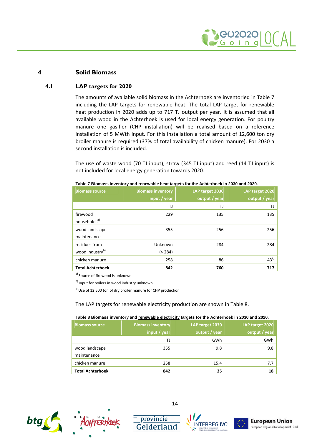

### **4 Solid Biomass**

### **4.1 LAP targets for 2020**

<span id="page-16-1"></span><span id="page-16-0"></span>The amounts of available solid biomass in the Achterhoek are inventoriedin [Table 7](#page-16-2) including the LAP targets for renewable heat. The total LAP target for renewable heat production in 2020 adds up to 717 TJ output per year. It is assumed that all available wood in the Achterhoek is used for local energy generation. For poultry manure one gasifier (CHP installation) will be realised based on a reference installation of 5 MWth input. For this installation a total amount of 12,600 ton dry broiler manure is required (37% of total availability of chicken manure). For 2030 a second installation is included.

The use of waste wood (70 TJ input), straw (345 TJ input) and reed (14 TJ input) is not included for local energy generation towards 2020.

| <b>Biomass source</b>                        | <b>Biomass inventory</b><br>input $\overline{I}$ year | LAP target 2030<br>output / year | LAP target 2020<br>output / year |
|----------------------------------------------|-------------------------------------------------------|----------------------------------|----------------------------------|
|                                              | TJ                                                    | TJ                               | TJ                               |
| firewood<br>households <sup>a)</sup>         | 229                                                   | 135                              | 135                              |
| wood landscape<br>maintenance                | 355                                                   | 256                              | 256                              |
| residues from<br>wood industry <sup>b)</sup> | Unknown<br>( > 284)                                   | 284                              | 284                              |
| chicken manure                               | 258                                                   | 86                               | 43 <sup>c</sup>                  |
| <b>Total Achterhoek</b>                      | 842                                                   | 760                              | 717                              |

<span id="page-16-2"></span>**Table 7 Biomass inventory and renewable heat targets for the Achterhoek in 2030 and 2020.**

a) Source of firewood is unknown

b) Input for boilers in wood industry unknown

 $c)$  Use of 12.600 ton of dry broiler manure for CHP production

The LAP targets for renewable electricity production are shownin [Table 8](#page-16-3).

<span id="page-16-3"></span>

| Table 8 Biomass inventory and renewable electricity targets for the Achterhoek in 2030 and 2020. |  |  |
|--------------------------------------------------------------------------------------------------|--|--|
|                                                                                                  |  |  |

| <b>Biomass source</b>   | <b>Biomass inventory</b><br>input / year | LAP target 2030<br>output / year | LAP target 2020<br>output / year |
|-------------------------|------------------------------------------|----------------------------------|----------------------------------|
|                         | TJ                                       | GWh                              | GWh                              |
| wood landscape          | 355                                      | 9.8                              | 9.8                              |
| maintenance             |                                          |                                  |                                  |
| chicken manure          | 258                                      | 15.4                             | 7.7                              |
| <b>Total Achterhoek</b> | 842                                      | 25                               | 18                               |







 $\equiv$  provincie



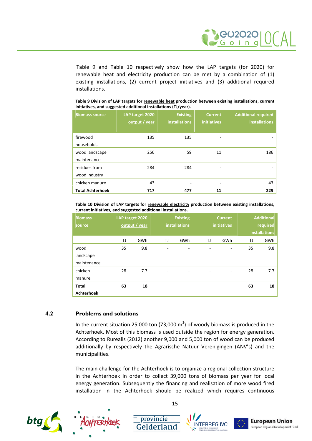

[Table 9](#page-17-1) and [Table 10](#page-17-2) respectively show how the LAP targets (for 2020) for renewable heat and electricity production can be met by a combination of (1) existing installations, (2) current project initiatives and (3) additional required installations.

| <b>Biomass source</b>          | LAP target 2020<br>output / year | <b>Existing</b><br><b>installations</b> | <b>Current</b><br><b>initiatives</b> | <b>Additional required</b><br>installations |
|--------------------------------|----------------------------------|-----------------------------------------|--------------------------------------|---------------------------------------------|
| firewood<br>households         | 135                              | 135                                     |                                      | ۰                                           |
| wood landscape<br>maintenance  | 256                              | 59                                      | 11                                   | 186                                         |
| residues from<br>wood industry | 284                              | 284                                     |                                      |                                             |
| chicken manure                 | 43                               | ٠                                       | -                                    | 43                                          |
| <b>Total Achterhoek</b>        | 717                              | 477                                     | 11                                   | 229                                         |

<span id="page-17-1"></span>**Table 9 Division of LAP targets for renewable heat production between existing installations, current initiatives, and suggested additional installations (TJ/year).**

<span id="page-17-2"></span>**Table 10 Division of LAP targets for renewable electricity production between existing installations, current initiatives, and suggested additional installations.**

| <b>Biomass</b><br>source |    | LAP target 2020<br>output / year |    | <b>Existing</b><br><b>installations</b> |    | <b>Current</b><br><b>initiatives</b> |    | <b>Additional</b><br>required<br><b>installations</b> |
|--------------------------|----|----------------------------------|----|-----------------------------------------|----|--------------------------------------|----|-------------------------------------------------------|
|                          |    |                                  |    |                                         |    |                                      |    |                                                       |
|                          | ΤJ | GWh                              | TJ | GWh                                     | TJ | GWh                                  | TJ | GWh                                                   |
| wood                     | 35 | 9.8                              | ٠  | $\overline{\phantom{0}}$                | -  | -                                    | 35 | 9.8                                                   |
| landscape                |    |                                  |    |                                         |    |                                      |    |                                                       |
| maintenance              |    |                                  |    |                                         |    |                                      |    |                                                       |
| chicken                  | 28 | 7.7                              | ٠  | -                                       |    |                                      | 28 | 7.7                                                   |
| manure                   |    |                                  |    |                                         |    |                                      |    |                                                       |
| <b>Total</b>             | 63 | 18                               |    |                                         |    |                                      | 63 | 18                                                    |
| <b>Achterhoek</b>        |    |                                  |    |                                         |    |                                      |    |                                                       |

### **4.2 Problems and solutions**

<span id="page-17-0"></span>In the current situation 25,000 ton (73,000  $m^3$ ) of woody biomass is produced in the Achterhoek. Most of this biomass is used outside the region for energy generation. According to Rurealis (2012) another 9,000 and 5,000 ton of wood can be produced additionally by respectively the Agrarische Natuur Verenigingen (ANV's) and the municipalities.

The main challenge for the Achterhoek is to organize a regional collection structure in the Achterhoek in order to collect 39,000 tons of biomass per year for local energy generation. Subsequently the financing and realisation of more wood fired installation in the Achterhoek should be realized which requires continuous





15

 $\equiv$  provincie





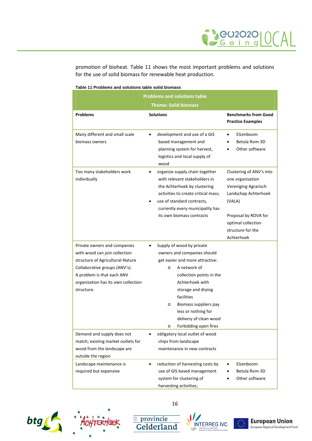

promotion of bioheat. [Table 11](#page-18-0) shows the most important problems and solutions for the use of solid biomass for renewable heat production.

| <b>Problems and solutions table</b>                                                                                                                                                                                   |                                                                                                                                                                                                                                                                                                                                                 |                                                                                                                                                                                         |  |  |  |
|-----------------------------------------------------------------------------------------------------------------------------------------------------------------------------------------------------------------------|-------------------------------------------------------------------------------------------------------------------------------------------------------------------------------------------------------------------------------------------------------------------------------------------------------------------------------------------------|-----------------------------------------------------------------------------------------------------------------------------------------------------------------------------------------|--|--|--|
| <b>Theme: Solid biomass</b>                                                                                                                                                                                           |                                                                                                                                                                                                                                                                                                                                                 |                                                                                                                                                                                         |  |  |  |
| <b>Problems</b>                                                                                                                                                                                                       | <b>Solutions</b>                                                                                                                                                                                                                                                                                                                                | <b>Benchmarks from Good</b><br><b>Practice Examples</b>                                                                                                                                 |  |  |  |
| Many different and small scale<br>biomass owners                                                                                                                                                                      | development and use of a GIS<br>$\bullet$<br>based management and<br>planning system for harvest,<br>logistics and local supply of<br>wood                                                                                                                                                                                                      | Elzenboom<br>Betula Rom-3D<br>Other software                                                                                                                                            |  |  |  |
| Too many stakeholders work<br>individually                                                                                                                                                                            | organize supply chain together<br>with relevant stakeholders in<br>the Achterhoek by clustering<br>activities to create critical mass;<br>use of standard contracts,<br>currently every municipality has<br>its own biomass contracts                                                                                                           | Clustering of ANV's into<br>one organisation<br>Vereniging Agrarisch<br>Landschap Achterhoek<br>(VALA)<br>Proposal by ROVA for<br>optimal collection<br>structure for the<br>Achterhoek |  |  |  |
| Private owners and companies<br>with wood can join collection<br>structure of Agricultural-Nature<br>Collaborative groups (ANV's).<br>A problem is that each ANV<br>organization has its own collection<br>structure. | Supply of wood by private<br>$\bullet$<br>owners and companies should<br>get easier and more attractive:<br>A network of<br>$\circ$<br>collection points in the<br>Achterhoek with<br>storage and drying<br>facilities<br>Biomass suppliers pay<br>$\circ$<br>less or nothing for<br>delivery of clean wood<br>Forbidding open fires<br>$\circ$ |                                                                                                                                                                                         |  |  |  |
| Demand and supply does not<br>match; existing market outlets for<br>wood from the landscape are<br>outside the region                                                                                                 | obligatory local outlet of wood<br>٠<br>chips from landscape<br>maintenance in new contracts                                                                                                                                                                                                                                                    |                                                                                                                                                                                         |  |  |  |
| Landscape maintenance is<br>required but expensive                                                                                                                                                                    | reduction of harvesting costs by<br>$\bullet$<br>use of GIS based management<br>system for clustering of<br>harvesting activities;                                                                                                                                                                                                              | Elzenboom<br>Betula Rom-3D<br>Other software                                                                                                                                            |  |  |  |

#### <span id="page-18-0"></span>**Table 11 Problems and solutions table solid biomass**





16

 $\frac{\equiv \text{provincie}}{\text{Gelderland}}$ 



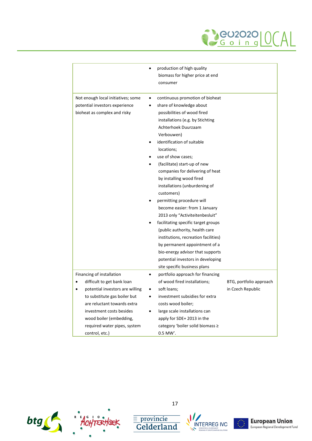

|                                                                                                      | production of high quality<br>$\bullet$<br>biomass for higher price at end<br>consumer                                                                                                                                                                                                                                                                                                                                                                                                                                                                                                                                                                                                                                                                        |                         |
|------------------------------------------------------------------------------------------------------|---------------------------------------------------------------------------------------------------------------------------------------------------------------------------------------------------------------------------------------------------------------------------------------------------------------------------------------------------------------------------------------------------------------------------------------------------------------------------------------------------------------------------------------------------------------------------------------------------------------------------------------------------------------------------------------------------------------------------------------------------------------|-------------------------|
| Not enough local initiatives; some<br>potential investors experience<br>bioheat as complex and risky | continuous promotion of bioheat<br>$\bullet$<br>share of knowledge about<br>possibilities of wood fired<br>installations (e.g. by Stichting<br>Achterhoek Duurzaam<br>Verbouwen)<br>identification of suitable<br>locations;<br>use of show cases;<br>(facilitate) start-up of new<br>companies for delivering of heat<br>by installing wood fired<br>installations (unburdening of<br>customers)<br>permitting procedure will<br>become easier: from 1 January<br>2013 only "Activiteitenbesluit"<br>facilitating specific target groups<br>(public authority, health care<br>institutions, recreation facilities)<br>by permanent appointment of a<br>bio-energy advisor that supports<br>potential investors in developing<br>site specific business plans |                         |
| Financing of installation<br>difficult to get bank loan                                              | portfolio approach for financing<br>$\bullet$<br>of wood fired installations;                                                                                                                                                                                                                                                                                                                                                                                                                                                                                                                                                                                                                                                                                 | BTG, portfolio approach |
| potential investors are willing                                                                      | soft loans;<br>$\bullet$                                                                                                                                                                                                                                                                                                                                                                                                                                                                                                                                                                                                                                                                                                                                      | in Czech Republic       |
| to substitute gas boiler but                                                                         | investment subsidies for extra                                                                                                                                                                                                                                                                                                                                                                                                                                                                                                                                                                                                                                                                                                                                |                         |
| are reluctant towards extra                                                                          | costs wood boiler;                                                                                                                                                                                                                                                                                                                                                                                                                                                                                                                                                                                                                                                                                                                                            |                         |
| investment costs besides                                                                             | large scale installations can<br>$\bullet$                                                                                                                                                                                                                                                                                                                                                                                                                                                                                                                                                                                                                                                                                                                    |                         |
| wood boiler (embedding,                                                                              | apply for SDE+ 2013 in the                                                                                                                                                                                                                                                                                                                                                                                                                                                                                                                                                                                                                                                                                                                                    |                         |
| required water pipes, system                                                                         | category 'boiler solid biomass ≥                                                                                                                                                                                                                                                                                                                                                                                                                                                                                                                                                                                                                                                                                                                              |                         |
| control, etc.)                                                                                       | $0.5$ MW'.                                                                                                                                                                                                                                                                                                                                                                                                                                                                                                                                                                                                                                                                                                                                                    |                         |





17

 $\begin{tabular}{c} \hline \hline \textcolor{red}{\overline{\mathbf{=}}~provincie} \\ \hline \textbf{Gelderland} \end{tabular}$ 



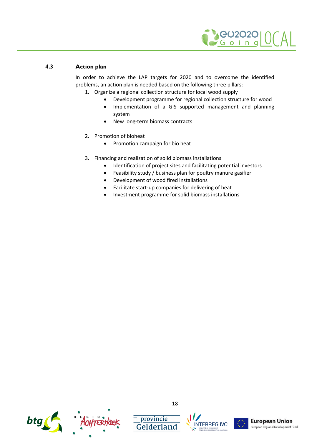

### **4.3 Action plan**

<span id="page-20-0"></span>In order to achieve the LAP targets for 2020 and to overcome the identified problems, an action plan is needed based on the following three pillars:

- 1. Organize a regional collection structure for local wood supply
	- Development programme for regional collection structure for wood
	- Implementation of a GIS supported management and planning system
	- New long-term biomass contracts
- 2. Promotion of bioheat
	- Promotion campaign for bio heat
- 3. Financing and realization of solid biomass installations
	- Identification of project sites and facilitating potential investors
	- Feasibility study / business plan for poultry manure gasifier
	- Development of wood fired installations
	- Facilitate start-up companies for delivering of heat
	- Investment programme for solid biomass installations



 $\equiv$  provincie





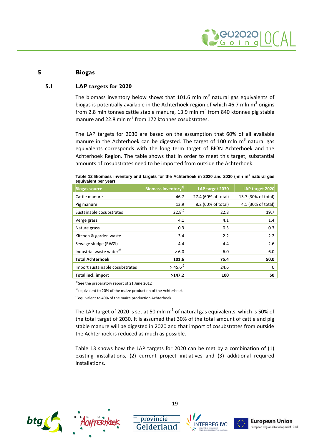

### **5 Biogas**

### **5.1 LAP targets for 2020**

<span id="page-21-1"></span><span id="page-21-0"></span>The biomass inventory below shows that 101.6 mln  $m^3$  natural gas equivalents of biogas is potentially available in the Achterhoek region of which 46.7 mln m<sup>3</sup> origins from 2.8 mln tonnes cattle stable manure, 13.9 mln m<sup>3</sup> from 840 ktonnes pig stable manure and 22.8 mln m<sup>3</sup> from 172 ktonnes cosubstrates.

The LAP targets for 2030 are based on the assumption that 60% of all available manure in the Achterhoek can be digested. The target of 100 mln  $m^3$  natural gas equivalents corresponds with the long term target of BION Achterhoek and the Achterhoek Region. The table shows that in order to meet this target, substantial amounts of cosubstrates need to be imported from outside the Achterhoek.

| <b>Biogas source</b>                 | Biomass inventory <sup>a)</sup> | LAP target 2030     | LAP target 2020     |
|--------------------------------------|---------------------------------|---------------------|---------------------|
| Cattle manure                        | 46.7                            | 27.4 (60% of total) | 13.7 (30% of total) |
| Pig manure                           | 13.9                            | 8.2 (60% of total)  | 4.1 (30% of total)  |
| Sustainable cosubstrates             | $22.8^{b}$                      | 22.8                | 19.7                |
| Verge grass                          | 4.1                             | 4.1                 | 1.4                 |
| Nature grass                         | 0.3                             | 0.3                 | 0.3                 |
| Kitchen & garden waste               | 3.4                             | 2.2                 | 2.2                 |
| Sewage sludge (RWZI)                 | 4.4                             | 4.4                 | 2.6                 |
| Industrial waste water <sup>a)</sup> | > 6.0                           | 6.0                 | 6.0                 |
| <b>Total Achterhoek</b>              | 101.6                           | 75.4                | 50.0                |
| Import sustainable cosubstrates      | $>$ 45.6 <sup>c)</sup>          | 24.6                | 0                   |
| Total incl. import                   | >147.2                          | 100                 | 50                  |

| Table 12 Biomass inventory and targets for the Achterhoek in 2020 and 2030 (mln $m3$ natural gas |  |
|--------------------------------------------------------------------------------------------------|--|
| equivalent per year)                                                                             |  |

a) See the preparatory report of 21 June 2012

b) equivalent to 20% of the maize production of the Achterhoek

c) equivalent to 40% of the maize production Achterhoek

The LAP target of 2020 is set at 50 mln m<sup>3</sup> of natural gas equivalents, which is 50% of the total target of 2030. It is assumed that 30% of the total amount of cattle and pig stable manure will be digested in 2020 and that import of cosubstrates from outside the Achterhoek is reduced as much as possible.

[Table 13](#page-22-1) shows how the LAP targets for 2020 can be met by a combination of (1) existing installations, (2) current project initiatives and (3) additional required installations.





19

 $\equiv$  provincie



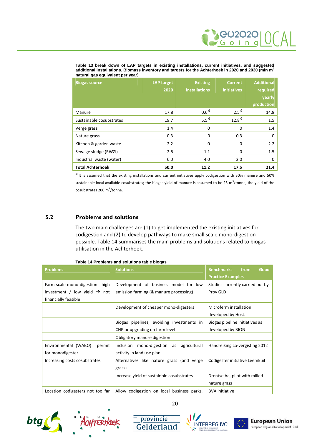

<span id="page-22-1"></span>**Table 13 break down of LAP targets in existing installations, current initiatives, and suggested additional installations. Biomass inventory and targets for the Achterhoek in 2020 and 2030 (mln m<sup>3</sup> natural gas equivalent per year)**

| <b>Biogas source</b>     | <b>LAP target</b> | <b>Existing</b>      | <b>Current</b>     | <b>Additional</b> |
|--------------------------|-------------------|----------------------|--------------------|-------------------|
|                          | 2020              | <b>installations</b> | <b>initiatives</b> | required          |
|                          |                   |                      |                    | yearly            |
|                          |                   |                      |                    | production        |
| Manure                   | 17.8              | $0.6^{a}$            | $2.5^{a}$          | 14.8              |
| Sustainable cosubstrates | 19.7              | $5.5^{a)}$           | $12.8^{a}$         | 1.5               |
| Verge grass              | 1.4               | 0                    | $\Omega$           | 1.4               |
| Nature grass             | 0.3               | 0                    | 0.3                | 0                 |
| Kitchen & garden waste   | 2.2               | $\Omega$             | $\Omega$           | 2.2               |
| Sewage sludge (RWZI)     | 2.6               | 1.1                  | $\Omega$           | 1.5               |
| Industrial waste (water) | 6.0               | 4.0                  | 2.0                | 0                 |
| <b>Total Achterhoek</b>  | 50.0              | 11.2                 | 17.5               | 21.4              |

<sup>a)</sup> It is assumed that the existing installations and current initiatives apply codigestion with 50% manure and 50% sustainable local available cosubstrates; the biogas yield of manure is assumed to be 25 m<sup>3</sup>/tonne, the yield of the cosubstrates 200 m<sup>3</sup>/tonne.

### **5.2 Problems and solutions**

<span id="page-22-0"></span>The two main challenges are (1) to get implemented the existing initiatives for codigestion and (2) to develop pathways to make small scale mono-digestion possible. [Table 14](#page-22-2) summarises the main problems and solutions related to biogas utilisation in the Achterhoek.

| <b>Problems</b>                                                                                     | <b>Solutions</b>                                                                                        | <b>Benchmarks</b><br>from<br>Good<br><b>Practice Examples</b> |
|-----------------------------------------------------------------------------------------------------|---------------------------------------------------------------------------------------------------------|---------------------------------------------------------------|
| Farm scale mono digestion: high<br>investment / low yield $\rightarrow$ not<br>financially feasible | Development of business model for low<br>emission farming (& manure processing)                         | Studies currently carried out by<br>Prov GLD                  |
|                                                                                                     | Development of cheaper mono-digesters                                                                   | Microferm installation<br>developed by Host.                  |
|                                                                                                     | Biogas pipelines, avoiding investments in<br>CHP or upgrading on farm level                             | Biogas pipeline initiatives as<br>developed by BION           |
| Environmental (WABO)<br>permit<br>for monodigester                                                  | Obligatory manure digestion<br>mono-digestion as agricultural<br>Inclusion<br>activity in land use plan | Handreiking co-vergisting 2012                                |
| Increasing costs cosubstrates                                                                       | Alternatives like nature grass (and verge<br>grass)                                                     | Codigester initiative Leemkuil                                |
|                                                                                                     | Increase yield of sustainble cosubstrates                                                               | Drentse Aa, pilot with milled<br>nature grass                 |
| Location codigesters not too far                                                                    | Allow codigestion on local business parks,                                                              | <b>BVA</b> initiative                                         |

<span id="page-22-2"></span>**Table 14 Problems and solutions table biogas**





20

 $\equiv$  provincie





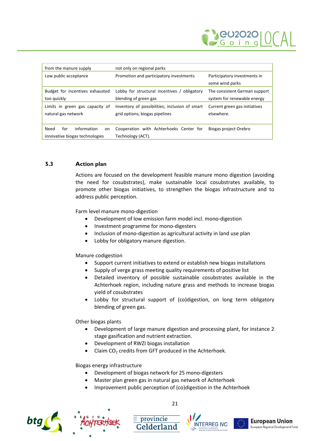

| from the manure supply                                             | not only on regional parks                                                       |                                                              |
|--------------------------------------------------------------------|----------------------------------------------------------------------------------|--------------------------------------------------------------|
| Low public acceptance                                              | Promotion and participatory investments                                          | Participatory investments in<br>some wind parks              |
| Budget for incentives exhausted<br>too guickly                     | Lobby for structural incentives / obligatory<br>blending of green gas            | The consistent German support<br>system for renewable energy |
| Limits in green gas capacity of<br>natural gas network             | Inventory of possibilities; inclusion of smart<br>grid options; biogas pipelines | Current green gas initiatives<br>elsewhere.                  |
| information<br>Need<br>for<br>on<br>innovative biogas technologies | Cooperation with Achterhoeks Center for<br>Technology (ACT).                     | Biogas project Orebro                                        |

### **5.3 Action plan**

<span id="page-23-0"></span>Actions are focused on the development feasible manure mono digestion (avoiding the need for cosubstrates), make sustainable local cosubstrates available, to promote other biogas initiatives, to strengthen the biogas infrastructure and to address public perception.

Farm level manure mono-digestion

- Development of low emission farm model incl. mono-digestion
- Investment programme for mono-digesters
- Inclusion of mono-digestion as agricultural activity in land use plan
- Lobby for obligatory manure digestion.

Manure codigestion

- Support current initiatives to extend or establish new biogas installations
- Supply of verge grass meeting quality requirements of positive list
- Detailed inventory of possible sustainable cosubstrates available in the Achterhoek region, including nature grass and methods to increase biogas yield of cosubstrates
- Lobby for structural support of (co)digestion, on long term obligatory blending of green gas.

Other biogas plants

- Development of large manure digestion and processing plant, for instance 2 stage gasification and nutrient extraction.
- Development of RWZI biogas installation
- Claim  $CO<sub>2</sub>$  credits from GFT produced in the Achterhoek.

Biogas energy infrastructure

Development of biogas network for 25 mono-digesters

- Master plan green gas in natural gas network of Achterhoek
- Improvement public perception of (co)digestion in the Achterhoek









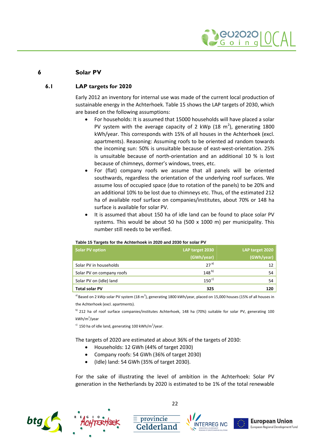

### **6 Solar PV**

### **6.1 LAP targets for 2020**

<span id="page-24-1"></span><span id="page-24-0"></span>Early 2012 an inventory for internal use was made of the current local production of sustainable energy in the Achterhoek. [Table 15](#page-24-2) shows the LAP targets of 2030, which are based on the following assumptions:

- For households: It is assumed that 15000 households will have placed a solar PV system with the average capacity of 2 kWp (18  $\text{m}^2$ ), generating 1800 kWh/year. This corresponds with 15% of all houses in the Achterhoek (excl. apartments). Reasoning: Assuming roofs to be oriented ad random towards the incoming sun: 50% is unsuitable because of east-west-orientation. 25% is unsuitable because of north-orientation and an additional 10 % is lost because of chimneys, dormer's windows, trees, etc.
- For (flat) company roofs we assume that all panels will be oriented southwards, regardless the orientation of the underlying roof surfaces. We assume loss of occupied space (due to rotation of the panels) to be 20% and an additional 10% to be lost due to chimneys etc. Thus, of the estimated 212 ha of available roof surface on companies/institutes, about 70% or 148 ha surface is available for solar PV.
- It is assumed that about 150 ha of idle land can be found to place solar PV systems. This would be about 50 ha (500 x 1000 m) per municipality. This number still needs to be verified.

| <b>Solar PV option</b>    | LAP target 2030 | LAP target 2020 |
|---------------------------|-----------------|-----------------|
|                           | (GWh/year)      | (GWh/year)      |
| Solar PV in households    | $27^{a}$        | 12              |
| Solar PV on company roofs | $148^{b}$       | 54              |
| Solar PV on (idle) land   | $150^{c}$       | 54              |
| <b>Total solar PV</b>     | 325             | 120             |

#### <span id="page-24-2"></span>**Table 15 Targets for the Achterhoek in 2020 and 2030 for solar PV**

<sup>a)</sup> Based on 2 kWp solar PV system (18 m<sup>2</sup>), generating 1800 kWh/year, placed on 15,000 houses (15% of all houses in the Achterhoek (excl. apartments).

b) 212 ha of roof surface companies/institutes Achterhoek, 148 ha (70%) suitable for solar PV, generating 100 kWh/m<sup>2</sup>/year

 $\epsilon$ <sup>)</sup> 150 ha of idle land, generating 100 kWh/m<sup>2</sup>/year.

The targets of 2020 are estimated at about 36% of the targets of 2030:

- Households: 12 GWh (44% of target 2030)
- Company roofs: 54 GWh (36% of target 2030)

 $\equiv$  provincie

Gelderland

(Idle) land: 54 GWh (35% of target 2030).

For the sake of illustrating the level of ambition in the Achterhoek: Solar PV generation in the Netherlands by 2020 is estimated to be 1% of the total renewable









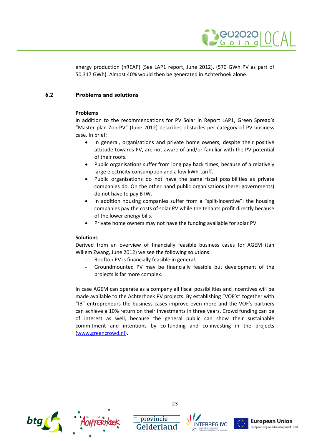

<span id="page-25-0"></span>energy production (nREAP) (See LAP1 report, June 2012). (570 GWh PV as part of 50,317 GWh). Almost 40% would then be generated in Achterhoek alone.

### **6.2 Problems and solutions**

### **Problems**

In addition to the recommendations for PV Solar in Report LAP1, Green Spread's "Master plan Zon-PV" (June 2012) describes obstacles per category of PV business case. In brief:

- In general, organisations and private home owners, despite their positive attitude towards PV, are not aware of and/or familiar with the PV-potential of their roofs.
- Public organisations suffer from long pay back times, because of a relatively large electricity consumption and a low kWh-tariff.
- Public organisations do not have the same fiscal possibilities as private companies do. On the other hand public organisations (here: governments) do not have to pay BTW.
- In addition housing companies suffer from a "split-incentive": the housing companies pay the costs of solar PV while the tenants profit directly because of the lower energy bills.
- Private home owners may not have the funding available for solar PV.

### **Solutions**

Derived from an overview of financially feasible business cases for AGEM (Jan Willem Zwang, June 2012) we see the following solutions:

- Rooftop PV is financially feasible in general.
- Groundmounted PV may be financially feasible but development of the projects is far more complex.

In case AGEM can operate as a company all fiscal possibilities and incentives will be made available to the Achterhoek PV projects. By establishing "VOF's" together with "IB" entrepreneurs the business cases improve even more and the VOF's partners can achieve a 10% return on their investments in three years. Crowd funding can be of interest as well, because the general public can show their sustainable commitment and intentions by co-funding and co-investing in the projects [\(www.greencrowd.nl\)](http://www.greencrowd.nl/).







 $\equiv$  provincie





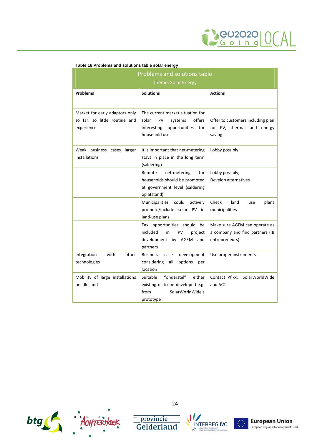

| <b>Problems and solutions table</b><br><b>Theme: Solar Energy</b>             |                                                                                                                              |                                                                                    |  |
|-------------------------------------------------------------------------------|------------------------------------------------------------------------------------------------------------------------------|------------------------------------------------------------------------------------|--|
| <b>Problems</b>                                                               | <b>Solutions</b>                                                                                                             | <b>Actions</b>                                                                     |  |
| Market for early adaptors only<br>so far, so little routine and<br>experience | The current market situation for<br>offers<br>solar<br>PV<br>systems<br>interesting<br>opportunities<br>for<br>household use | Offer to customers including plan<br>for PV, thermal and energy<br>saving          |  |
| Weak business cases<br>larger<br>installations                                | It is important that net-metering<br>stays in place in the long term<br>(saldering)                                          | Lobby possibly                                                                     |  |
|                                                                               | Remote<br>net-metering<br>for<br>households should be promoted<br>at government level (saldering<br>op afstand)              | Lobby possibly;<br>Develop alternatives                                            |  |
|                                                                               | <b>Municipalities</b><br>could<br>actively<br>promote/include solar PV in<br>land-use plans                                  | Check<br>land<br>plans<br>use<br>municipalities                                    |  |
|                                                                               | Tax opportunities should be<br>included<br>in<br>PV<br>project<br>development by AGEM<br>and<br>partners                     | Make sure AGEM can operate as<br>a company and find partners (IB<br>entrepreneurs) |  |
| Integration<br>with<br>other<br>technologies                                  | development<br><b>Business</b><br>case<br>considering<br>all<br>options<br>per<br>location                                   | Use proper instruments                                                             |  |
| Mobility of large installations<br>on idle land                               | "onderstel"<br>Suitable<br>either<br>existing or to be developed e.g.<br>SolarWorldWide's<br>from<br>prototype               | Contact Pfixx,<br>SolarWorldWide<br>and ACT                                        |  |

#### **Table 16 Problems and solutions table solar energy**





24

 $\frac{1}{\sqrt{1-\frac{1}{c}}\text{D}}$  Gelderland



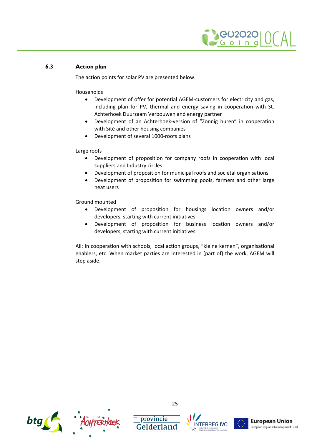

### **6.3 Action plan**

<span id="page-27-0"></span>The action points for solar PV are presented below.

### Households

- Development of offer for potential AGEM-customers for electricity and gas, including plan for PV, thermal and energy saving in cooperation with St. Achterhoek Duurzaam Verbouwen and energy partner
- Development of an Achterhoek-version of "Zonnig huren" in cooperation with Sité and other housing companies
- Development of several 1000-roofs plans

### Large roofs

- Development of proposition for company roofs in cooperation with local suppliers and Industry circles
- Development of proposition for municipal roofs and societal organisations
- Development of proposition for swimming pools, farmers and other large heat users

Ground mounted

- Development of proposition for housings location owners and/or developers, starting with current initiatives
- Development of proposition for business location owners and/or developers, starting with current initiatives

All: In cooperation with schools, local action groups, "kleine kernen", organisational enablers, etc. When market parties are interested in (part of) the work, AGEM will step aside.





 $\equiv$  provincie





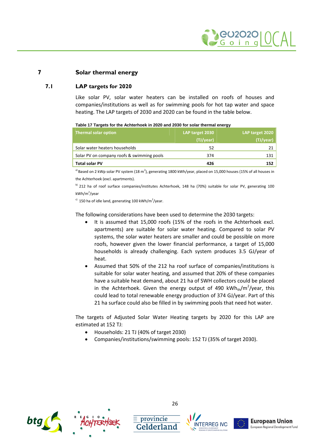

### **7 Solar thermal energy**

### **7.1 LAP targets for 2020**

<span id="page-28-1"></span><span id="page-28-0"></span>Like solar PV, solar water heaters can be installed on roofs of houses and companies/institutions as well as for swimming pools for hot tap water and space heating. The LAP targets of 2030 and 2020 can be found in the table below.

|  |  | Table 17 Targets for the Achterhoek in 2020 and 2030 for solar thermal energy |
|--|--|-------------------------------------------------------------------------------|
|  |  |                                                                               |

| Thermal solar option                       | LAP target 2030<br>(TJ/year) | LAP target 2020<br>(TJ/year) |
|--------------------------------------------|------------------------------|------------------------------|
| Solar water heaters households             | 52                           |                              |
| Solar PV on company roofs & swimming pools | 374                          | 131                          |
| <b>Total solar PV</b>                      | 426                          | 152                          |

<sup>a)</sup> Based on 2 kWp solar PV system (18 m<sup>2</sup>), generating 1800 kWh/year, placed on 15,000 houses (15% of all houses in the Achterhoek (excl. apartments).

b) 212 ha of roof surface companies/institutes Achterhoek, 148 ha (70%) suitable for solar PV, generating 100 kWh/m<sup>2</sup>/year

 $\epsilon$ <sup>)</sup> 150 ha of idle land, generating 100 kWh/m<sup>2</sup>/year.

The following considerations have been used to determine the 2030 targets:

- It is assumed that 15,000 roofs (15% of the roofs in the Achterhoek excl. apartments) are suitable for solar water heating. Compared to solar PV systems, the solar water heaters are smaller and could be possible on more roofs, however given the lower financial performance, a target of 15,000 households is already challenging. Each system produces 3.5 GJ/year of heat.
- Assumed that 50% of the 212 ha roof surface of companies/institutions is suitable for solar water heating, and assumed that 20% of these companies have a suitable heat demand, about 21 ha of SWH collectors could be placed in the Achterhoek. Given the energy output of 490 kWh $_{\text{th}}$ /m<sup>2</sup>/year, this could lead to total renewable energy production of 374 GJ/year. Part of this 21 ha surface could also be filled in by swimming pools that need hot water.

The targets of Adjusted Solar Water Heating targets by 2020 for this LAP are estimated at 152 TJ:

- Households: 21 TJ (40% of target 2030)
- Companies/institutions/swimming pools: 152 TJ (35% of target 2030).



26

 $\equiv$  provincie





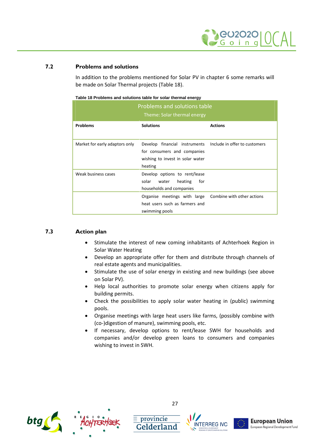

### **7.2 Problems and solutions**

<span id="page-29-0"></span>[In addition to the problems mentioned for Solar PV in chapter 6 some remarks will](#page-24-0) be made on Solar Thermal projects [\(Table 18](#page-29-2)).

| Problems and solutions table<br>Theme: Solar thermal energy |                                                                                                             |                               |  |  |
|-------------------------------------------------------------|-------------------------------------------------------------------------------------------------------------|-------------------------------|--|--|
| <b>Problems</b>                                             | <b>Solutions</b>                                                                                            | <b>Actions</b>                |  |  |
| Market for early adaptors only                              | Develop financial instruments<br>for consumers and companies<br>wishing to invest in solar water<br>heating | Include in offer to customers |  |  |
| Weak business cases                                         | Develop options to rent/lease<br>solar<br>for<br>heating<br>water<br>households and companies               |                               |  |  |
|                                                             | Organise meetings with large<br>heat users such as farmers and<br>swimming pools                            | Combine with other actions    |  |  |

#### <span id="page-29-2"></span>**Table 18 Problems and solutions table for solar thermal energy**

### **7.3 Action plan**

- <span id="page-29-1"></span>• Stimulate the interest of new coming inhabitants of Achterhoek Region in Solar Water Heating
- Develop an appropriate offer for them and distribute through channels of real estate agents and municipalities.
- Stimulate the use of solar energy in existing and new buildings (see above on Solar PV).
- Help local authorities to promote solar energy when citizens apply for building permits.
- Check the possibilities to apply solar water heating in (public) swimming pools.
- Organise meetings with large heat users like farms, (possibly combine with (co-)digestion of manure), swimming pools, etc.
- If necessary, develop options to rent/lease SWH for households and companies and/or develop green loans to consumers and companies wishing to invest in SWH.



27

 $\equiv$  provincie





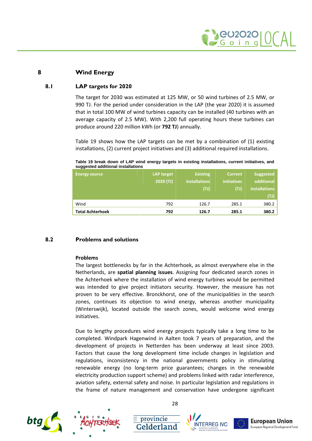

### **8 Wind Energy**

### **8.1 LAP targets for 2020**

<span id="page-30-1"></span><span id="page-30-0"></span>The target for 2030 was estimated at 125 MW, or 50 wind turbines of 2.5 MW, or 990 TJ. For the period under consideration in the LAP (the year 2020) it is assumed that in total 100 MW of wind turbines capacity can be installed (40 turbines with an average capacity of 2.5 MW). With 2,200 full operating hours these turbines can produce around 220 million kWh (or **792 TJ**) annually.

[Table 19](#page-30-3) shows how the LAP targets can be met by a combination of (1) existing installations, (2) current project initiatives and (3) additional required installations.

#### <span id="page-30-3"></span>**Table 19 break down of LAP wind energy targets in existing installations, current initiatives, and suggested additional installations**

| <b>Energy source</b>    | <b>LAP target</b><br>2020(TJ) | <b>Existing</b><br><b>installations</b><br>(T) | <b>Current</b><br><b>initiatives</b><br>(T) | Suggested<br>additional<br>installations<br>(TJ) |
|-------------------------|-------------------------------|------------------------------------------------|---------------------------------------------|--------------------------------------------------|
| Wind                    | 792                           | 126.7                                          | 285.1                                       | 380.2                                            |
| <b>Total Achterhoek</b> | 792                           | 126.7                                          | 285.1                                       | 380.2                                            |

### **8.2 Problems and solutions**

### <span id="page-30-2"></span>**Problems**

The largest bottlenecks by far in the Achterhoek, as almost everywhere else in the Netherlands, are **spatial planning issues**. Assigning four dedicated search zones in the Achterhoek where the installation of wind energy turbines would be permitted was intended to give project initiators security. However, the measure has not proven to be very effective. Bronckhorst, one of the municipalities in the search zones, continues its objection to wind energy, whereas another municipality (Winterswijk), located outside the search zones, would welcome wind energy initiatives.

Due to lengthy procedures wind energy projects typically take a long time to be completed. Windpark Hagenwind in Aalten took 7 years of preparation, and the development of projects in Netterden has been underway at least since 2003. Factors that cause the long development time include changes in legislation and regulations, inconsistency in the national governments policy in stimulating renewable energy (no long-term price guarantees; changes in the renewable electricity production support scheme) and problems linked with radar interference, aviation safety, external safety and noise. In particular legislation and regulations in the frame of nature management and conservation have undergone significant





28

 $\equiv$  provincie





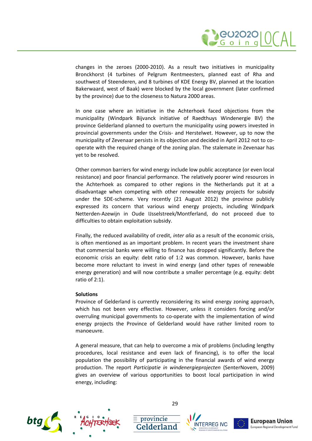

changes in the zeroes (2000-2010). As a result two initiatives in municipality Bronckhorst (4 turbines of Pelgrum Rentmeesters, planned east of Rha and southwest of Steenderen, and 8 turbines of KDE Energy BV, planned at the location Bakerwaard, west of Baak) were blocked by the local government (later confirmed by the province) due to the closeness to Natura 2000 areas.

In one case where an initiative in the Achterhoek faced objections from the municipality (Windpark Bijvanck initiative of Raedthuys Windenergie BV) the province Gelderland planned to overturn the municipality using powers invested in provincial governments under the Crisis- and Herstelwet. However, up to now the municipality of Zevenaar persists in its objection and decided in April 2012 not to cooperate with the required change of the zoning plan. The stalemate in Zevenaar has yet to be resolved.

Other common barriers for wind energy include low public acceptance (or even local resistance) and poor financial performance. The relatively poorer wind resources in the Achterhoek as compared to other regions in the Netherlands put it at a disadvantage when competing with other renewable energy projects for subsidy under the SDE-scheme. Very recently (21 August 2012) the province publicly expressed its concern that various wind energy projects, including Windpark Netterden-Azewijn in Oude IJsselstreek/Montferland, do not proceed due to difficulties to obtain exploitation subsidy.

Finally, the reduced availability of credit, *inter alia* as a result of the economic crisis, is often mentioned as an important problem. In recent years the investment share that commercial banks were willing to finance has dropped significantly. Before the economic crisis an equity: debt ratio of 1:2 was common. However, banks have become more reluctant to invest in wind energy (and other types of renewable energy generation) and will now contribute a smaller percentage (e.g. equity: debt ratio of 2:1).

### **Solutions**

Province of Gelderland is currently reconsidering its wind energy zoning approach, which has not been very effective. However, unless it considers forcing and/or overruling municipal governments to co-operate with the implementation of wind energy projects the Province of Gelderland would have rather limited room to manoeuvre.

A general measure, that can help to overcome a mix of problems (including lengthy procedures, local resistance and even lack of financing), is to offer the local population the possibility of participating in the financial awards of wind energy production. The report *Participatie in windenergieprojecten* (SenterNovem, 2009) gives an overview of various opportunities to boost local participation in wind energy, including:







 $\equiv$  provincie





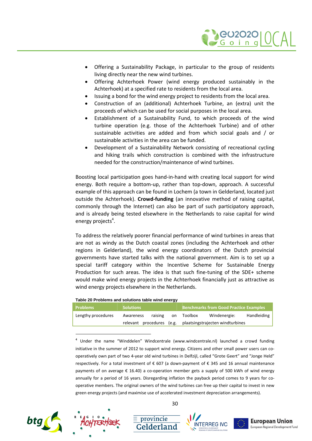

- Offering a Sustainability Package, in particular to the group of residents living directly near the new wind turbines.
- Offering Achterhoek Power (wind energy produced sustainably in the Achterhoek) at a specified rate to residents from the local area.
- Issuing a bond for the wind energy project to residents from the local area.
- Construction of an (additional) Achterhoek Turbine, an (extra) unit the proceeds of which can be used for social purposes in the local area.
- Establishment of a Sustainability Fund, to which proceeds of the wind turbine operation (e.g. those of the Achterhoek Turbine) and of other sustainable activities are added and from which social goals and / or sustainable activities in the area can be funded.
- Development of a Sustainability Network consisting of recreational cycling and hiking trails which construction is combined with the infrastructure needed for the construction/maintenance of wind turbines.

Boosting local participation goes hand-in-hand with creating local support for wind energy. Both require a bottom-up, rather than top-down, approach. A successful example of this approach can be found in Lochem (a town in Gelderland, located just outside the Achterhoek). **Crowd-funding** (an innovative method of raising capital, commonly through the Internet) can also be part of such participatory approach, and is already being tested elsewhere in the Netherlands to raise capital for wind energy projects<sup>4</sup>[.](#page-32-0)

To address the relatively poorer financial performance of wind turbines in areas that are not as windy as the Dutch coastal zones (including the Achterhoek and other regions in Gelderland), the wind energy coordinators of the Dutch provincial governments have started talks with the national government. Aim is to set up a special tariff category within the Incentive Scheme for Sustainable Energy Production for such areas. The idea is that such fine-tuning of the SDE+ scheme would make wind energy projects in the Achterhoek financially just as attractive as wind energy projects elsewhere in the Netherlands.

|  | Table 20 Problems and solutions table wind energy |  |
|--|---------------------------------------------------|--|
|--|---------------------------------------------------|--|

| <b>Problems</b>    | <b>Solutions</b>          |     | <b>Benchmarks from Good Practice Examples</b> |                                  |             |
|--------------------|---------------------------|-----|-----------------------------------------------|----------------------------------|-------------|
| Lengthy procedures | raising<br>Awareness      | on. | Toolbox                                       | Windenergie:                     | Handleiding |
|                    | relevant procedures (e.g. |     |                                               | plaatsingstrajecten windturbines |             |

<span id="page-32-0"></span><sup>4</sup> Under the name "Winddelen" Windcentrale (www.windcentrale.nl) launched a crowd funding initiative in the summer of 2012 to support wind energy. Citizens and other small power users can cooperatively own part of two 4-year old wind turbines in Delfzijl, called "Grote Geert" and "Jonge Held" respectively. For a total investment of € 607 (a down-payment of € 345 and 16 annual maintenance payments of on average € 16.40) a co-operation member gets a supply of 500 kWh of wind energy annually for a period of 16 years. Disregarding inflation the payback period comes to 9 years for cooperative members. The original owners of the wind turbines can free up their capital to invest in new green energy projects (and maximise use of accelerated investment depreciation arrangements).





30

 $\equiv$  provincie



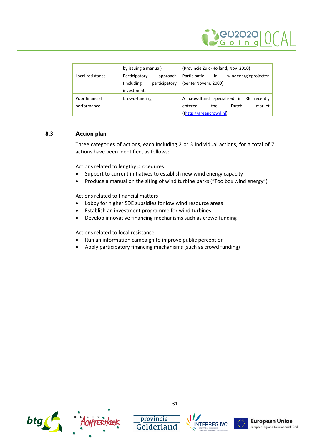

|                  | by issuing a manual)         | (Provincie Zuid-Holland, Nov 2010)                |
|------------------|------------------------------|---------------------------------------------------|
| Local resistance | Participatory<br>approach    | windenergieprojecten<br>Participatie<br><i>in</i> |
|                  | (including)<br>participatory | (SenterNovem, 2009)                               |
|                  | investments)                 |                                                   |
| Poor financial   | Crowd-funding                | A crowdfund specialised in RE recently            |
| performance      |                              | market  <br>Dutch<br>the<br>entered               |
|                  |                              | ((http://greencrowd.nl)                           |

### **8.3 Action plan**

<span id="page-33-0"></span>Three categories of actions, each including 2 or 3 individual actions, for a total of 7 actions have been identified, as follows:

Actions related to lengthy procedures

- Support to current initiatives to establish new wind energy capacity
- Produce a manual on the siting of wind turbine parks ("Toolbox wind energy")

Actions related to financial matters

- Lobby for higher SDE subsidies for low wind resource areas
- Establish an investment programme for wind turbines
- Develop innovative financing mechanisms such as crowd funding

Actions related to local resistance

- Run an information campaign to improve public perception
- Apply participatory financing mechanisms (such as crowd funding)



31

 $\equiv$  provincie





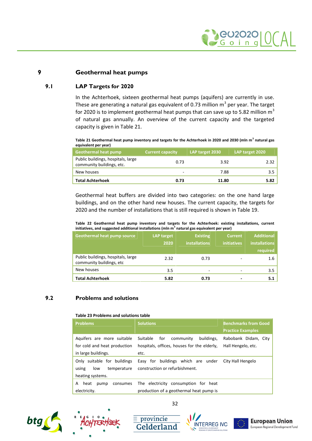

### **9 Geothermal heat pumps**

### **9.1 LAP Targets for 2020**

<span id="page-34-1"></span><span id="page-34-0"></span>In the Achterhoek, sixteen geothermal heat pumps (aquifers) are currently in use. These are generating a natural gas equivalent of 0.73 million  $m^3$  per year. The target for 2020 is to implement geothermal heat pumps that can save up to 5.82 million  $m<sup>3</sup>$ of natural gas annually. An overview of the current capacity and the targeted capacity is givenin [Table 21.](#page-34-3)

<span id="page-34-3"></span>**Table 21 Geothermal heat pump inventory and targets for the Achterhoek in 2020 and 2030 (mln m<sup>3</sup> natural gas equivalent per year)**

| <b>Geothermal heat pump</b>                                     | <b>Current capacity</b> | LAP target 2030 | LAP target 2020 |
|-----------------------------------------------------------------|-------------------------|-----------------|-----------------|
| Public buildings, hospitals, large<br>community buildings, etc. | 0.73                    | 3.92            | 2.32            |
| New houses                                                      | ۰                       | 7.88            | 3.5             |
| <b>Total Achterhoek</b>                                         | 0.73                    | 11.80           | 5.82            |

Geothermal heat buffers are divided into two categories: on the one hand large buildings, and on the other hand new houses. The current capacity, the targets for 2020 and the number of installations that is still required is shownin [Table 19.](#page-30-3)

**Table 22 Geothermal heat pump inventory and targets for the Achterhoek: existing installations, current initiatives, and suggested additional installations (mln m<sup>3</sup> natural gas equivalent per year)**

| <b>Geothermal heat pump source</b>                             | <b>LAP target</b><br>2020 | <b>Existing</b><br><b>installations</b> | <b>Current</b><br><b>initiatives</b> | <b>Additional</b><br><b>installations</b><br>required |
|----------------------------------------------------------------|---------------------------|-----------------------------------------|--------------------------------------|-------------------------------------------------------|
| Public buildings, hospitals, large<br>community buildings, etc | 2.32                      | 0.73                                    |                                      | 1.6                                                   |
| New houses                                                     | 3.5                       | $\overline{\phantom{a}}$                | -                                    | 3.5                                                   |
| <b>Total Achterhoek</b>                                        | 5.82                      | 0.73                                    | -                                    | 5.1                                                   |

### **9.2 Problems and solutions**

#### <span id="page-34-2"></span>**Table 23 Problems and solutions table**

| <b>Problems</b>                                                                   | <b>Solutions</b>                                                                                  | <b>Benchmarks from Good</b><br><b>Practice Examples</b> |
|-----------------------------------------------------------------------------------|---------------------------------------------------------------------------------------------------|---------------------------------------------------------|
| Aquifers are more suitable<br>for cold and heat production<br>in large buildings. | Suitable<br>for<br>buildings,<br>community<br>hospitals, offices, houses for the elderly,<br>etc. | Rabobank Didam, City<br>Hall Hengelo, etc.              |
| Only suitable for buildings<br>using<br>temperature<br>low<br>heating systems.    | buildings which are under<br>Easy for<br>construction or refurbishment.                           | City Hall Hengelo                                       |
| A<br>heat<br>consumes<br>pump<br>electricity.                                     | The electricity consumption for heat<br>production of a geothermal heat pump is                   |                                                         |





32

 $\equiv$  provincie



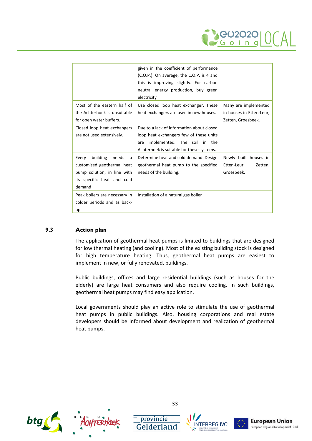

|                                                                                                                                      | given in the coefficient of performance<br>(C.O.P.). On average, the C.O.P. is 4 and<br>this is improving slightly. For carbon<br>neutral energy production, buy green<br>electricity |                                                                        |
|--------------------------------------------------------------------------------------------------------------------------------------|---------------------------------------------------------------------------------------------------------------------------------------------------------------------------------------|------------------------------------------------------------------------|
| Most of the eastern half of<br>the Achterhoek is unsuitable<br>for open water buffers.                                               | Use closed loop heat exchanger. These<br>heat exchangers are used in new houses.                                                                                                      | Many are implemented<br>in houses in Etten-Leur,<br>Zetten, Groesbeek. |
| Closed loop heat exchangers<br>are not used extensively.                                                                             | Due to a lack of information about closed<br>loop heat exchangers few of these units<br>implemented. The soil in the<br>are<br>Achterhoek is suitable for these systems.              |                                                                        |
| building<br>Every<br>needs<br>a<br>customised geothermal heat<br>pump solution, in line with<br>its specific heat and cold<br>demand | Determine heat and cold demand. Design<br>geothermal heat pump to the specified<br>needs of the building.                                                                             | Newly built houses in<br>Etten-Leur,<br>Zetten,<br>Groesbeek.          |
| Peak boilers are necessary in<br>colder periods and as back-<br>up.                                                                  | Installation of a natural gas boiler                                                                                                                                                  |                                                                        |

### **9.3 Action plan**

<span id="page-35-0"></span>The application of geothermal heat pumps is limited to buildings that are designed for low thermal heating (and cooling). Most of the existing building stock is designed for high temperature heating. Thus, geothermal heat pumps are easiest to implement in new, or fully renovated, buildings.

Public buildings, offices and large residential buildings (such as houses for the elderly) are large heat consumers and also require cooling. In such buildings, geothermal heat pumps may find easy application.

Local governments should play an active role to stimulate the use of geothermal heat pumps in public buildings. Also, housing corporations and real estate developers should be informed about development and realization of geothermal heat pumps.



33

 $\equiv$  provincie





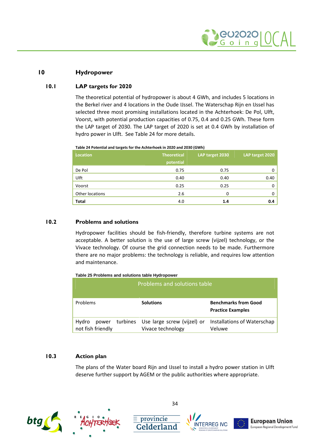

### **10 Hydropower**

### **10.1 LAP targets for 2020**

<span id="page-36-1"></span><span id="page-36-0"></span>The theoretical potential of hydropower is about 4 GWh, and includes 5 locations in the Berkel river and 4 locations in the Oude IJssel. The Waterschap Rijn en IJssel has selected three most promising installations located in the Achterhoek: De Pol, Ulft, Voorst, with potential production capacities of 0.75, 0.4 and 0.25 GWh. These form the LAP target of 2030. The LAP target of 2020 is set at 0.4 GWh by installation of hydro power in Ulft.See [Table 24](#page-36-4) for more details.

#### <span id="page-36-4"></span>**Table 24 Potential and targets for the Achterhoek in 2020 and 2030 (GWh)**

| <b>Location</b> | <b>Theoretical</b><br>potential | LAP target 2030 | LAP target 2020 |
|-----------------|---------------------------------|-----------------|-----------------|
| De Pol          | 0.75                            | 0.75            | 0               |
| Ulft            | 0.40                            | 0.40            | 0.40            |
| Voorst          | 0.25                            | 0.25            | 0               |
| Other locations | 2.6                             | 0               | 0               |
| <b>Total</b>    | 4.0                             | 1.4             | 0.4             |

### **10.2 Problems and solutions**

<span id="page-36-2"></span>Hydropower facilities should be fish-friendly, therefore turbine systems are not acceptable. A better solution is the use of large screw (vijzel) technology, or the Vivace technology. Of course the grid connection needs to be made. Furthermore there are no major problems: the technology is reliable, and requires low attention and maintenance.

#### **Table 25 Problems and solutions table Hydropower**

|                                     | Problems and solutions table                              |                                                         |
|-------------------------------------|-----------------------------------------------------------|---------------------------------------------------------|
| Problems                            | <b>Solutions</b>                                          | <b>Benchmarks from Good</b><br><b>Practice Examples</b> |
| Hydro<br>power<br>not fish friendly | turbines Use large screw (vijzel) or<br>Vivace technology | Installations of Waterschap<br>Veluwe                   |

### **10.3 Action plan**

<span id="page-36-3"></span>The plans of the Water board Rijn and IJssel to install a hydro power station in Ulft deserve further support by AGEM or the public authorities where appropriate.



34

 $\equiv$  provincie





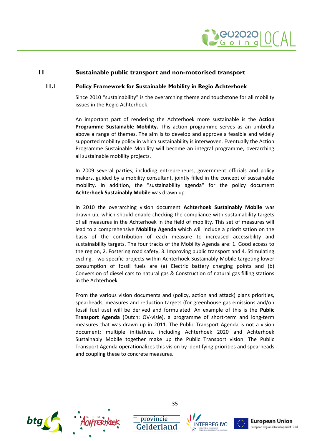

### **11 Sustainable public transport and non-motorised transport**

### **11.1 Policy Framework for Sustainable Mobility in Regio Achterhoek**

<span id="page-37-1"></span><span id="page-37-0"></span>Since 2010 "sustainability" is the overarching theme and touchstone for all mobility issues in the Regio Achterhoek.

An important part of rendering the Achterhoek more sustainable is the **Action Programme Sustainable Mobility.** This action programme serves as an umbrella above a range of themes. The aim is to develop and approve a feasible and widely supported mobility policy in which sustainability is interwoven. Eventually the Action Programme Sustainable Mobility will become an integral programme, overarching all sustainable mobility projects.

In 2009 several parties, including entrepreneurs, government officials and policy makers, guided by a mobility consultant, jointly filled in the concept of sustainable mobility. In addition, the "sustainability agenda" for the policy document **Achterhoek Sustainably Mobile** was drawn up.

In 2010 the overarching vision document **Achterhoek Sustainably Mobile** was drawn up, which should enable checking the compliance with sustainability targets of all measures in the Achterhoek in the field of mobility. This set of measures will lead to a comprehensive **Mobility Agenda** which will include a prioritisation on the basis of the contribution of each measure to increased accessibility and sustainability targets. The four tracks of the Mobility Agenda are: 1. Good access to the region, 2. Fostering road safety, 3. Improving public transport and 4. Stimulating cycling. Two specific projects within Achterhoek Sustainably Mobile targeting lower consumption of fossil fuels are (a) Electric battery charging points and (b) Conversion of diesel cars to natural gas & Construction of natural gas filling stations in the Achterhoek.

From the various vision documents and (policy, action and attack) plans priorities, spearheads, measures and reduction targets (for greenhouse gas emissions and/on fossil fuel use) will be derived and formulated. An example of this is the **Public Transport Agenda** (Dutch: OV-visie), a programme of short-term and long-term measures that was drawn up in 2011. The Public Transport Agenda is not a vision document; multiple initiatives, including Achterhoek 2020 and Achterhoek Sustainably Mobile together make up the Public Transport vision. The Public Transport Agenda operationalizes this vision by identifying priorities and spearheads and coupling these to concrete measures.





35

 $\equiv$  provincie





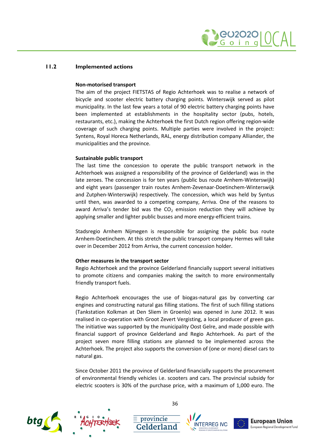

### <span id="page-38-0"></span>**Non-motorised transport**

The aim of the project FIETSTAS of Regio Achterhoek was to realise a network of bicycle and scooter electric battery charging points. Winterswijk served as pilot municipality. In the last few years a total of 90 electric battery charging points have been implemented at establishments in the hospitality sector (pubs, hotels, restaurants, etc.), making the Achterhoek the first Dutch region offering region-wide coverage of such charging points. Multiple parties were involved in the project: Syntens, Royal Horeca Netherlands, RAL, energy distribution company Alliander, the municipalities and the province.

### **Sustainable public transport**

The last time the concession to operate the public transport network in the Achterhoek was assigned a responsibility of the province of Gelderland) was in the late zeroes. The concession is for ten years (public bus route Arnhem-Winterswijk) and eight years (passenger train routes Arnhem-Zevenaar-Doetinchem-Winterswijk and Zutphen-Winterswijk) respectively. The concession, which was held by Syntus until then, was awarded to a competing company, Arriva. One of the reasons to award Arriva's tender bid was the  $CO<sub>2</sub>$  emission reduction they will achieve by applying smaller and lighter public busses and more energy-efficient trains.

Stadsregio Arnhem Nijmegen is responsible for assigning the public bus route Arnhem-Doetinchem. At this stretch the public transport company Hermes will take over in December 2012 from Arriva, the current concession holder.

### **Other measures in the transport sector**

Regio Achterhoek and the province Gelderland financially support several initiatives to promote citizens and companies making the switch to more environmentally friendly transport fuels.

Regio Achterhoek encourages the use of biogas-natural gas by converting car engines and constructing natural gas filling stations. The first of such filling stations (Tankstation Kolkman at Den Sliem in Groenlo) was opened in June 2012. It was realised in co-operation with Groot Zevert Vergisting, a local producer of green gas. The initiative was supported by the municipality Oost Gelre, and made possible with financial support of province Gelderland and Regio Achterhoek. As part of the project seven more filling stations are planned to be implemented across the Achterhoek. The project also supports the conversion of (one or more) diesel cars to natural gas.

Since October 2011 the province of Gelderland financially supports the procurement of environmental friendly vehicles i.e. scooters and cars. The provincial subsidy for electric scooters is 30% of the purchase price, with a maximum of 1,000 euro. The





36

 $\equiv$  provincie





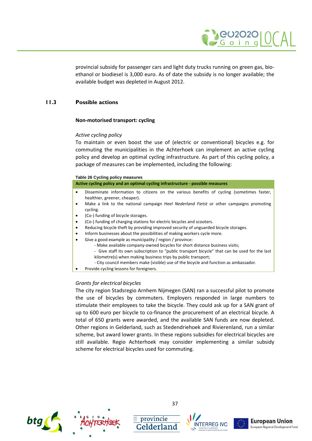

provincial subsidy for passenger cars and light duty trucks running on green gas, bioethanol or biodiesel is 3,000 euro. As of date the subsidy is no longer available; the available budget was depleted in August 2012.

### **11.3 Possible actions**

### <span id="page-39-0"></span>**Non-motorised transport: cycling**

### *Active cycling policy*

To maintain or even boost the use of (electric or conventional) bicycles e.g. for commuting the municipalities in the Achterhoek can implement an active cycling policy and develop an optimal cycling infrastructure. As part of this cycling policy, a package of measures can be implemented, including the following:

| Table 26 Cycling policy measures |  |
|----------------------------------|--|
|----------------------------------|--|

| Active cycling policy and an optimal cycling infrastructure - possible measures |  |
|---------------------------------------------------------------------------------|--|
|---------------------------------------------------------------------------------|--|

- Disseminate information to citizens on the various benefits of cycling (sometimes faster, healthier, greener, cheaper).
- Make a link to the national campaign *Heel Nederland Fietst* or other campaigns promoting cycling.
- (Co-) funding of bicycle storages.
- (Co-) funding of charging stations for electric bicycles and scooters.
- Reducing bicycle theft by providing improved security of unguarded bicycle storages.
- Inform businesses about the possibilities of making workers cycle more.
- Give a good example as municipality / region / province:
	- Make available company-owned bicycles for short distance business visits;
	- Give staff its own subscription to "public transport bicycle" that can be used for the last kilometre(s) when making business trips by public transport;
	- City council members make (visible) use of the bicycle and function as ambassador.
- Provide cycling lessons for foreigners.

### *Grants for electrical bicycles*

The city region Stadsregio Arnhem Nijmegen (SAN) ran a successful pilot to promote the use of bicycles by commuters. Employers responded in large numbers to stimulate their employees to take the bicycle. They could ask up for a SAN grant of up to 600 euro per bicycle to co-finance the procurement of an electrical bicycle. A total of 650 grants were awarded, and the available SAN funds are now depleted. Other regions in Gelderland, such as Stedendriehoek and Rivierenland, run a similar scheme, but award lower grants. In these regions subsidies for electrical bicycles are still available. Regio Achterhoek may consider implementing a similar subsidy scheme for electrical bicycles used for commuting.





 $\mathsf{\small\texttt{=}}$  provincie





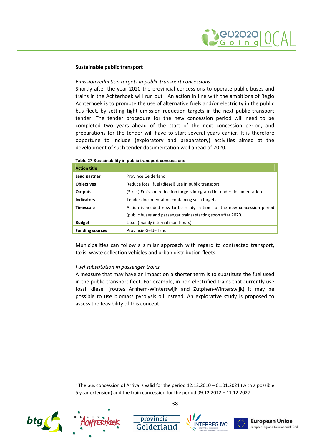### **Sustainable public transport**

### *Emission reduction targets in public transport concessions*

Shortly after the year 2020 the provincial concessions to operate public buses and trains in the Achterhoek will run out<sup>5</sup>[.](#page-40-0) An action in line with the ambitions of Regio Achterhoek is to promote the use of alternative fuels and/or electricity in the public bus fleet, by setting tight emission reduction targets in the next public transport tender. The tender procedure for the new concession period will need to be completed two years ahead of the start of the next concession period, and preparations for the tender will have to start several years earlier. It is therefore opportune to include (exploratory and preparatory) activities aimed at the development of such tender documentation well ahead of 2020.

| <b>Action title</b>    |                                                                        |
|------------------------|------------------------------------------------------------------------|
| Lead partner           | <b>Province Gelderland</b>                                             |
| <b>Objectives</b>      | Reduce fossil fuel (diesel) use in public transport                    |
| Outputs                | (Strict) Emission reduction targets integrated in tender documentation |
| <b>Indicators</b>      | Tender documentation containing such targets                           |
| <b>Timescale</b>       | Action is needed now to be ready in time for the new concession period |
|                        | (public buses and passenger trains) starting soon after 2020.          |
| <b>Budget</b>          | t.b.d. (mainly internal man-hours)                                     |
| <b>Funding sources</b> | Provincie Gelderland                                                   |

#### **Table 27 Sustainability in public transport concessions**

Municipalities can follow a similar approach with regard to contracted transport, taxis, waste collection vehicles and urban distribution fleets.

### *Fuel substitution in passenger trains*

A measure that may have an impact on a shorter term is to substitute the fuel used in the public transport fleet. For example, in non-electrified trains that currently use fossil diesel (routes Arnhem-Winterswijk and Zutphen-Winterswijk) it may be possible to use biomass pyrolysis oil instead. An explorative study is proposed to assess the feasibility of this concept.

<span id="page-40-0"></span> $<sup>5</sup>$  The bus concession of Arriva is valid for the period 12.12.2010 – 01.01.2021 (with a possible</sup> 5 year extension) and the train concession for the period 09.12.2012 – 11.12.2027.







 $\equiv$  provincie



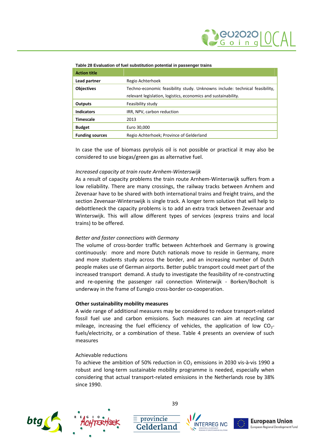

#### **Table 28 Evaluation of fuel substitution potential in passenger trains**

| <b>Action title</b>    |                                                                             |
|------------------------|-----------------------------------------------------------------------------|
| Lead partner           | Regio Achterhoek                                                            |
| <b>Objectives</b>      | Techno-economic feasibility study. Unknowns include: technical feasibility, |
|                        | relevant legislation, logistics, economics and sustainability.              |
| <b>Outputs</b>         | Feasibility study                                                           |
| <b>Indicators</b>      | IRR, NPV, carbon reduction                                                  |
| <b>Timescale</b>       | 2013                                                                        |
| <b>Budget</b>          | Euro 30,000                                                                 |
| <b>Funding sources</b> | Regio Achterhoek; Province of Gelderland                                    |

In case the use of biomass pyrolysis oil is not possible or practical it may also be considered to use biogas/green gas as alternative fuel.

#### *Increased capacity at train route Arnhem-Winterswijk*

As a result of capacity problems the train route Arnhem-Winterswijk suffers from a low reliability. There are many crossings, the railway tracks between Arnhem and Zevenaar have to be shared with both international trains and freight trains, and the section Zevenaar-Winterswijk is single track. A longer term solution that will help to debottleneck the capacity problems is to add an extra track between Zevenaar and Winterswijk. This will allow different types of services (express trains and local trains) to be offered.

#### *Better and faster connections with Germany*

The volume of cross-border traffic between Achterhoek and Germany is growing continuously: more and more Dutch nationals move to reside in Germany, more and more students study across the border, and an increasing number of Dutch people makes use of German airports. Better public transport could meet part of the increased transport demand. A study to investigate the feasibility of re-constructing and re-opening the passenger rail connection Winterwijk - Borken/Bocholt is underway in the frame of Euregio cross-border co-cooperation.

#### **Other sustainability mobility measures**

A wide range of additional measures may be considered to reduce transport-related fossil fuel use and carbon emissions. Such measures can aim at recycling car mileage, increasing the fuel efficiency of vehicles, the application of low  $CO<sub>2</sub>$ fuels/electricity, or a combination of these. Table 4 presents an overview of such measures

### Achievable reductions

To achieve the ambition of 50% reduction in  $CO<sub>2</sub>$  emissions in 2030 vis-à-vis 1990 a robust and long-term sustainable mobility programme is needed, especially when considering that actual transport-related emissions in the Netherlands rose by 38% since 1990.







 $\equiv$  provincie





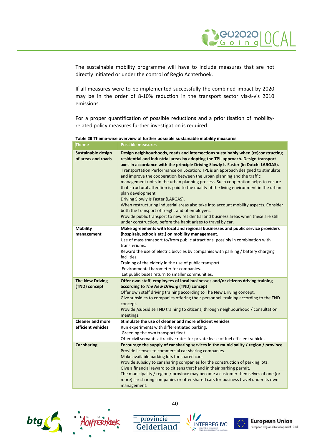

The sustainable mobility programme will have to include measures that are not directly initiated or under the control of Regio Achterhoek.

If all measures were to be implemented successfully the combined impact by 2020 may be in the order of 8-10% reduction in the transport sector vis-à-vis 2010 emissions.

For a proper quantification of possible reductions and a prioritisation of mobilityrelated policy measures further investigation is required.

**Table 29 Theme-wise overview of further possible sustainable mobility measures**

| <b>Theme</b>                                  | <b>Possible measures</b>                                                                                                                                                                                                                                                                                                                                                                                                                                                                                                                                                                                                                                                                                                                                                                                                                                                                                                                                              |
|-----------------------------------------------|-----------------------------------------------------------------------------------------------------------------------------------------------------------------------------------------------------------------------------------------------------------------------------------------------------------------------------------------------------------------------------------------------------------------------------------------------------------------------------------------------------------------------------------------------------------------------------------------------------------------------------------------------------------------------------------------------------------------------------------------------------------------------------------------------------------------------------------------------------------------------------------------------------------------------------------------------------------------------|
| Sustainable design<br>of areas and roads      | Design neighbourhoods, roads and intersections sustainably when (re)constructing<br>residential and industrial areas by adopting the TPL-approach. Design transport<br>axes in accordance with the principle Driving Slowly Is Faster (in Dutch: LARGAS).<br>Transportation Performance on Location: TPL is an approach designed to stimulate<br>and improve the cooperation between the urban planning and the traffic<br>management units in the urban planning process. Such cooperation helps to ensure<br>that structural attention is paid to the quality of the living environment in the urban<br>plan development.<br>Driving Slowly Is Faster (LARGAS).<br>When restructuring industrial areas also take into account mobility aspects. Consider<br>both the transport of freight and of employees.<br>Provide public transport to new residential and business areas when these are still<br>under construction, before the habit arises to travel by car. |
| <b>Mobility</b><br>management                 | Make agreements with local and regional businesses and public service providers<br>(hospitals, schools etc.) on mobility management.<br>Use of mass transport to/from public attractions, possibly in combination with<br>transferiums.<br>Reward the use of electric bicycles by companies with parking / battery charging<br>facilities.<br>Training of the elderly in the use of public transport.<br>Environmental barometer for companies.<br>Let public buses return to smaller communities.                                                                                                                                                                                                                                                                                                                                                                                                                                                                    |
| <b>The New Driving</b><br>(TND) concept       | Offer own staff, employees of local businesses and/or citizens driving training<br>according to The New Driving (TND) concept<br>Offer own staff driving training according to The New Driving concept.<br>Give subsidies to companies offering their personnel training according to the TND<br>concept.<br>Provide /subsidise TND training to citizens, through neighbourhood / consultation<br>meetings.                                                                                                                                                                                                                                                                                                                                                                                                                                                                                                                                                           |
| <b>Cleaner and more</b><br>efficient vehicles | Stimulate the use of cleaner and more efficient vehicles<br>Run experiments with differentiated parking.<br>Greening the own transport fleet.<br>Offer civil servants attractive rates for private lease of fuel efficient vehicles                                                                                                                                                                                                                                                                                                                                                                                                                                                                                                                                                                                                                                                                                                                                   |
| <b>Car sharing</b>                            | Encourage the supply of car sharing services in the municipality / region / province<br>Provide licenses to commercial car sharing companies.<br>Make available parking lots for shared cars.<br>Provide subsidy to car sharing companies for the construction of parking lots.<br>Give a financial reward to citizens that hand in their parking permit.<br>The municipality / region / province may become a customer themselves of one (or<br>more) car sharing companies or offer shared cars for business travel under its own<br>management.                                                                                                                                                                                                                                                                                                                                                                                                                    |





40

 $\equiv$  provincie



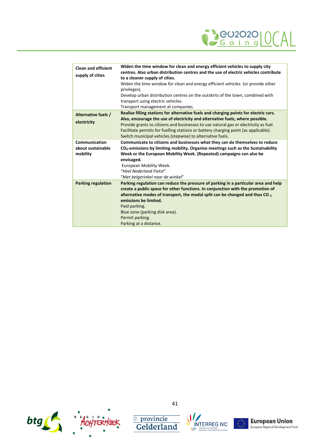

| <b>Clean and efficient</b><br>supply of cities | Widen the time window for clean and energy efficient vehicles to supply city<br>centres. Also urban distribution centres and the use of electric vehicles contribute<br>to a cleaner supply of cities.<br>Widen the time window for clean and energy efficient vehicles (or provide other<br>privileges).<br>Develop urban distribution centres on the outskirts of the town, combined with<br>transport using electric vehicles.<br>Transport management at companies. |
|------------------------------------------------|-------------------------------------------------------------------------------------------------------------------------------------------------------------------------------------------------------------------------------------------------------------------------------------------------------------------------------------------------------------------------------------------------------------------------------------------------------------------------|
| Alternative fuels /<br>electricity             | Realise filling stations for alternative fuels and charging points for electric cars.<br>Also, encourage the use of electricity and alternative fuels, where possible.<br>Provide grants to citizens and businesses to use natural gas or electricity as fuel.<br>Facilitate permits for fuelling stations or battery charging point (as applicable).<br>Switch municipal vehicles (stepwise) to alternative fuels.                                                     |
| Communication<br>about sustainable<br>mobility | Communicate to citizens and businesses what they can do themselves to reduce<br>CO <sub>2</sub> -emissions by limiting mobility. Organise meetings such as the Sustainability<br>Week or the European Mobility Week. (Repeated) campaigns can also be<br>envisaged.<br>European Mobility Week.<br>"Heel Nederland Fietst"<br>"Met belgerinkel naar de winkel"                                                                                                           |
| <b>Parking regulation</b>                      | Parking regulation can reduce the pressure of parking in a particular area and help<br>create a public space for other functions. In conjunction with the promotion of<br>alternative modes of transport, the modal split can be changed and thus CO $_2$<br>emissions be limited.<br>Paid parking.<br>Blue zone (parking disk area).<br>Permit parking.<br>Parking at a distance.                                                                                      |





 $\frac{\equiv \text{provincie}}{\text{Gelderland}}$ 



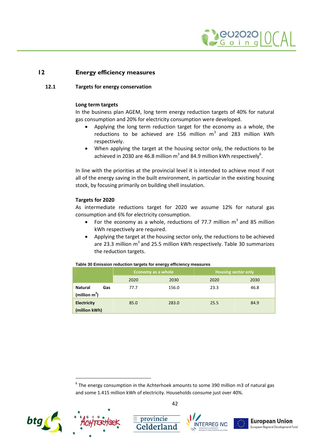

### **12 Energy efficiency measures**

### **12.1 Targets for energy conservation**

### <span id="page-44-1"></span><span id="page-44-0"></span>**Long term targets**

In the business plan AGEM, long term energy reduction targets of 40% for natural gas consumption and 20% for electricity consumption were developed.

- Applying the long term reduction target for the economy as a whole, the reductions to be achieved are 156 million  $m^3$  and 283 million kWh respectively.
- When applying the target at the housing sector only, the reductions to be achieved in 2030 are 46[.](#page-44-3)8 million m<sup>3</sup> and 84.9 million kWh respectively<sup>6</sup>.

In line with the priorities at the provincial level it is intended to achieve most if not all of the energy saving in the built environment, in particular in the existing housing stock, by focusing primarily on building shell insulation.

### **Targets for 2020**

As intermediate reductions target for 2020 we assume 12% for natural gas consumption and 6% for electricity consumption.

- For the economy as a whole, reductions of 77.7 million  $m^3$  and 85 million kWh respectively are required.
- Applying the target at the housing sector only, the reductions to be achieved are 23.3 million  $m^3$  and 25.5 million kWh respectively. [Table 30](#page-44-2) summarizes the reduction targets.

|                                           | Economy as a whole |       | <b>Housing sector only</b> |      |
|-------------------------------------------|--------------------|-------|----------------------------|------|
|                                           | 2020               | 2030  | 2020                       | 2030 |
| <b>Natural</b><br>Gas<br>(million $m^3$ ) | 77.7               | 156.0 | 23.3                       | 46.8 |
| <b>Electricity</b><br>(million kWh)       | 85.0               | 283.0 | 25.5                       | 84.9 |

<span id="page-44-2"></span>**Table 30 Emission reduction targets for energy efficiency measures**

 $^6$  The energy consumption in the Achterhoek amounts to some 390 million m3 of natural gas and some 1.415 million kWh of electricity. Households consume just over 40%.



<span id="page-44-3"></span>



 $\equiv$  provincie



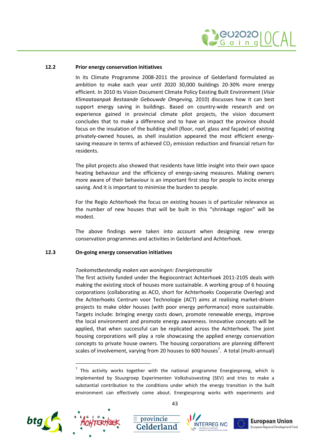

### **12.2 Prior energy conservation initiatives**

<span id="page-45-0"></span>In its Climate Programme 2008-2011 the province of Gelderland formulated as ambition to make each year until 2020 30,000 buildings 20-30% more energy efficient. In 2010 its Vision Document Climate Policy Existing Built Environment (*Visie Klimaataanpak Bestaande Gebouwde Omgeving,* 2010) discusses how it can best support energy saving in buildings. Based on country-wide research and on experience gained in provincial climate pilot projects, the vision document concludes that to make a difference and to have an impact the province should focus on the insulation of the building shell (floor, roof, glass and façade) of existing privately-owned houses, as shell insulation appeared the most efficient energysaving measure in terms of achieved  $CO<sub>2</sub>$  emission reduction and financial return for residents.

The pilot projects also showed that residents have little insight into their own space heating behaviour and the efficiency of energy-saving measures. Making owners more aware of their behaviour is an important first step for people to incite energy saving. And it is important to minimise the burden to people.

For the Regio Achterhoek the focus on existing houses is of particular relevance as the number of new houses that will be built in this "shrinkage region" will be modest.

<span id="page-45-1"></span>The above findings were taken into account when designing new energy conservation programmes and activities in Gelderland and Achterhoek.

### **12.3 On-going energy conservation initiatives**

#### *Toekomstbestendig maken van woningen: Energietransitie*

The first activity funded under the Regiocontract Achterhoek 2011-2105 deals with making the existing stock of houses more sustainable. A working group of 6 housing corporations (collaborating as ACO, short for Achterhoeks Cooperatie Overleg) and the Achterhoeks Centrum voor Technologie (ACT) aims at realising market-driven projects to make older houses (with poor energy performance) more sustainable. Targets include: bringing energy costs down, promote renewable energy, improve the local environment and promote energy awareness. Innovative concepts will be applied, that when successful can be replicated across the Achterhoek. The joint housing corporations will play a role showcasing the applied energy conservation concepts to private house owners. The housing corporations are planning different scales of involvement, varying from 20 houses to 600 houses<sup>7</sup>[.](#page-45-2) A total (multi-annual)

 $^7$  This activity works together with the national programme Energiesprong, which is implemented by Stuurgroep Experimenten Volkshuisvesting (SEV) and tries to make a substantial contribution to the conditions under which the energy transition in the built environment can effectively come about. Energiesprong works with experiments and



<span id="page-45-2"></span>

43

 $\equiv$  provincie





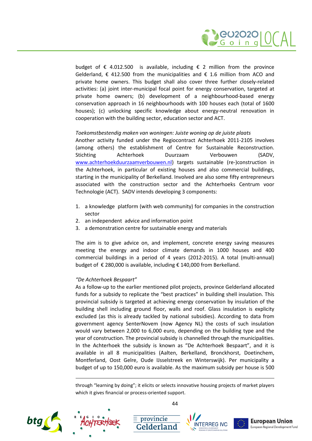

budget of  $\epsilon$  4.012.500 is available, including  $\epsilon$  2 million from the province Gelderland, € 412.500 from the municipalities and € 1.6 million from ACO and private home owners. This budget shall also cover three further closely-related activities: (a) joint inter-municipal focal point for energy conservation, targeted at private home owners; (b) development of a neighbourhood-based energy conservation approach in 16 neighbourhoods with 100 houses each (total of 1600 houses); (c) unlocking specific knowledge about energy-neutral renovation in cooperation with the building sector, education sector and ACT.

#### *Toekomstbestendig maken van woningen: Juiste woning op de juiste plaats*

Another activity funded under the Regiocontract Achterhoek 2011-2105 involves (among others) the establishment of Centre for Sustainable Reconstruction. Stichting Achterhoek Duurzaam Verbouwen (SADV, [www.achterhoekduurzaamverbouwen.nl\)](http://www.achterhoekduurzaamverbouwen.nl/) targets sustainable (re-)construction in the Achterhoek, in particular of existing houses and also commercial buildings, starting in the municipality of Berkelland. Involved are also some fifty entrepreneurs associated with the construction sector and the Achterhoeks Centrum voor Technologie (ACT). SADV intends developing 3 components:

- 1. a knowledge platform (with web community) for companies in the construction sector
- 2. an independent advice and information point
- 3. a demonstration centre for sustainable energy and materials

The aim is to give advice on, and implement, concrete energy saving measures meeting the energy and indoor climate demands in 1000 houses and 400 commercial buildings in a period of 4 years (2012-2015). A total (multi-annual) budget of € 280,000 is available, including € 140,000 from Berkelland.

### *"De Achterhoek Bespaart"*

As a follow-up to the earlier mentioned pilot projects, province Gelderland allocated funds for a subsidy to replicate the "best practices" in building shell insulation. This provincial subsidy is targeted at achieving energy conservation by insulation of the building shell including ground floor, walls and roof. Glass insulation is explicity excluded (as this is already tackled by national subsidies). According to data from government agency SenterNovem (now Agency NL) the costs of such insulation would vary between 2,000 to 6,000 euro, depending on the building type and the year of construction. The provincial subsidy is channelled through the municipalities. In the Achterhoek the subsidy is known as "De Achterhoek Bespaart", and it is available in all 8 municipalities (Aalten, Berkelland, Bronckhorst, Doetinchem, Montferland, Oost Gelre, Oude IJsselstreek en Winterswijk). Per municipality a budget of up to 150,000 euro is available. As the maximum subsidy per house is 500

through "learning by doing"; it elicits or selects innovative housing projects of market players which it gives financial or process-oriented support.





 $\mathsf{\small\texttt{=}}$  provincie





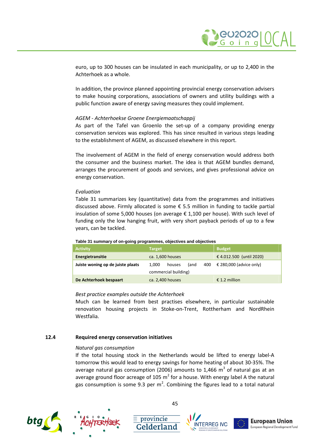euro, up to 300 houses can be insulated in each municipality, or up to 2,400 in the Achterhoek as a whole.

In addition, the province planned appointing provincial energy conservation advisers to make housing corporations, associations of owners and utility buildings with a public function aware of energy saving measures they could implement.

### *AGEM - Achterhoekse Groene Energiemaatschappij*

As part of the Tafel van Groenlo the set-up of a company providing energy conservation services was explored. This has since resulted in various steps leading to the establishment of AGEM, as discussed elsewhere in this report.

The involvement of AGEM in the field of energy conservation would address both the consumer and the business market. The idea is that AGEM bundles demand, arranges the procurement of goods and services, and gives professional advice on energy conservation.

### *Evaluation*

[Table 31](#page-47-1) summarizes key (quantitative) data from the programmes and initiatives discussed above. Firmly allocated is some € 5.5 million in funding to tackle partial insulation of some 5,000 houses (on average € 1,100 per house). With such level of funding only the low hanging fruit, with very short payback periods of up to a few years, can be tackled.

| <b>Activity</b>                   | <b>Target</b>                     | <b>Budget</b>                           |  |
|-----------------------------------|-----------------------------------|-----------------------------------------|--|
| Energietransitie                  | ca. 1,600 houses                  | € 4.012.500 (until 2020)                |  |
| Juiste woning op de juiste plaats | (and<br>1.000<br>houses           | $\epsilon$ 280,000 (advice only)<br>400 |  |
|                                   | commercial building)              |                                         |  |
| De Achterhoek bespaart            | ca. 2,400 houses<br>€ 1.2 million |                                         |  |

#### <span id="page-47-1"></span>**Table 31 summary of on-going programmes, objectives and objectives**

#### *Best practice examples outside the Achterhoek*

Much can be learned from best practises elsewhere, in particular sustainable renovation housing projects in Stoke-on-Trent, Rottherham and NordRhein Westfalia.

### **12.4 Required energy conservation initiatives**

#### <span id="page-47-0"></span>*Natural gas consumption*

If the total housing stock in the Netherlands would be lifted to energy label-A tomorrow this would lead to energy savings for home heating of about 30-35%. The average natural gas consumption (2006) amounts to 1,466  $\text{m}^{3}$  of natural gas at an average ground floor acreage of 105 m<sup>2</sup> for a house. With energy label A the natural gas consumption is some 9.3 per m<sup>2</sup>. Combining the figures lead to a total natural







 $\equiv$  provincie



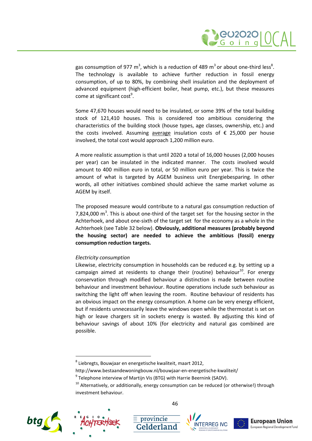

gas consumption of 977 m<sup>3</sup>, which is a reduction of 4[8](#page-48-0)9 m<sup>3</sup> or about one-third less<sup>8</sup>[.](#page-48-0) The technology is available to achieve further reduction in fossil energy consumption, of up to 80%, by combining shell insulation and the deployment of advanced equipment (high-efficient boiler, heat pump, etc.), but these measures come at significant cost<sup>[9](#page-48-1)</sup>[.](#page-48-1)

Some 47,670 houses would need to be insulated, or some 39% of the total building stock of 121,410 houses. This is considered too ambitious considering the characteristics of the building stock (house types, age classes, ownership, etc.) and the costs involved. Assuming average insulation costs of  $\epsilon$  25,000 per house involved, the total cost would approach 1,200 million euro.

A more realistic assumption is that until 2020 a total of 16,000 houses (2,000 houses per year) can be insulated in the indicated manner. The costs involved would amount to 400 million euro in total, or 50 million euro per year. This is twice the amount of what is targeted by AGEM business unit Energiebesparing. In other words, all other initiatives combined should achieve the same market volume as AGEM by itself.

The proposed measure would contribute to a natural gas consumption reduction of 7,824,000  $\text{m}^3$ . This is about one-third of the target set for the housing sector in the Achterhoek, and about one-sixth of the target set for the economy as a whole in the Achterhoek (see [Table 32](#page-49-0) below). **Obviously, additional measures (probably beyond the housing sector) are needed to achieve the ambitious (fossil) energy consumption reduction targets.**

### *Electricity consumption*

Likewise, electricity consumption in households can be reduced e.g. by setting up a campaign aimed at residents to change their (routine) behaviour<sup>[10](#page-48-2)</sup>. For energy conservation through modified behaviour a distinction is made between routine behaviour and investment behaviour. Routine operations include such behaviour as switching the light off when leaving the room. Routine behaviour of residents has an obvious impact on the energy consumption. A home can be very energy efficient, but if residents unnecessarily leave the windows open while the thermostat is set on high or leave chargers sit in sockets energy is wasted. By adjusting this kind of behaviour savings of about 10% (for electricity and natural gas combined are possible.

 $\equiv$  provincie

 $10$  Alternatively, or additionally, energy consumption can be reduced (or otherwise!) through investment behaviour.











<span id="page-48-0"></span> $^8$  Liebregts, Bouwjaar en energetische kwaliteit, maart 2012,

<span id="page-48-1"></span>http://www.bestaandewoningbouw.nl/bouwjaar-en-energetische-kwaliteit/

<span id="page-48-2"></span> $^9$  Telephone interview of Martijn Vis (BTG) with Harrie Beernink (SADV).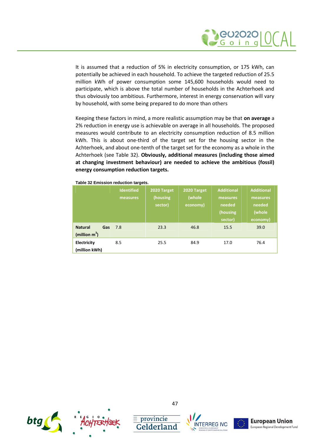

It is assumed that a reduction of 5% in electricity consumption, or 175 kWh, can potentially be achieved in each household. To achieve the targeted reduction of 25.5 million kWh of power consumption some 145,600 households would need to participate, which is above the total number of households in the Achterhoek and thus obviously too ambitious. Furthermore, interest in energy conservation will vary by household, with some being prepared to do more than others

Keeping these factors in mind, a more realistic assumption may be that **on average** a 2% reduction in energy use is achievable on average in all households. The proposed measures would contribute to an electricity consumption reduction of 8.5 million kWh. This is about one-third of the target set for the housing sector in the Achterhoek, and about one-tenth of the target set for the economy as a whole in the Achterhoek (see [Table 32\)](#page-49-0). **Obviously, additional measures (including those aimed at changing investment behaviour) are needed to achieve the ambitious (fossil) energy consumption reduction targets.**

|                                           | <b>Identified</b><br>measures | 2020 Target<br>(housing<br>sector) | 2020 Target<br>(whole<br>economy) | <b>Additional</b><br>measures<br>needed<br>(housing<br>sector) | <b>Additional</b><br>measures<br>needed<br>(whole<br>economy) |
|-------------------------------------------|-------------------------------|------------------------------------|-----------------------------------|----------------------------------------------------------------|---------------------------------------------------------------|
| <b>Natural</b><br>Gas<br>(million $m^3$ ) | 7.8                           | 23.3                               | 46.8                              | 15.5                                                           | 39.0                                                          |
| Electricity<br>(million kWh)              | 8.5                           | 25.5                               | 84.9                              | 17.0                                                           | 76.4                                                          |

<span id="page-49-0"></span>**Table 32 Emission reduction targets.**





 $\equiv$  provincie



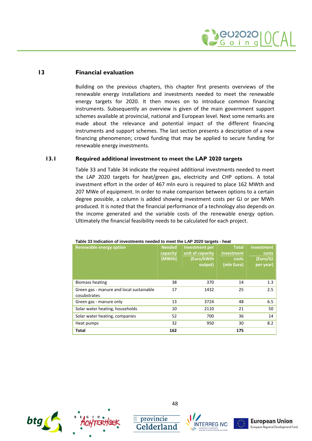

<span id="page-50-0"></span>Building on the previous chapters, this chapter first presents overviews of the renewable energy installations and investments needed to meet the renewable energy targets for 2020. It then moves on to introduce common financing instruments. Subsequently an overview is given of the main government support schemes available at provincial, national and European level. Next some remarks are made about the relevance and potential impact of the different financing instruments and support schemes. The last section presents a description of a new financing phenomenon; crowd funding that may be applied to secure funding for renewable energy investments.

### **13.1 Required additional investment to meet the LAP 2020 targets**

<span id="page-50-1"></span>[Table 33](#page-50-2) and [Table 34](#page-51-1) indicate the required additional investments needed to meet the LAP 2020 targets for heat/green gas, electricity and CHP options. A total investment effort in the order of 467 mln euro is required to place 162 MWth and 207 MWe of equipment. In order to make comparison between options to a certain degree possible, a column is added showing investment costs per GJ or per MWh produced. It is noted that the financial performance of a technology also depends on the income generated and the variable costs of the renewable energy option. Ultimately the financial feasibility needs to be calculated for each project.

| <b>Renewable energy option</b>                           | <b>Needed</b><br>capacity<br>(MWth) | <b>Investment per</b><br>unit of capacity<br>(Euro/kWth<br>output) | <b>Total</b><br>investment<br>costs<br>(mln Euro) | Investment<br>costs<br>(Euro/GJ<br>per year) |
|----------------------------------------------------------|-------------------------------------|--------------------------------------------------------------------|---------------------------------------------------|----------------------------------------------|
| <b>Biomass heating</b>                                   | 38                                  | 370                                                                | 14                                                | 1.3                                          |
| Green gas - manure and local sustainable<br>cosubstrates | 17                                  | 1432                                                               | 25                                                | 2.5                                          |
| Green gas - manure only                                  | 13                                  | 3724                                                               | 48                                                | 6.5                                          |
| Solar water heating, households                          | 10                                  | 2110                                                               | 21                                                | 50                                           |
| Solar water heating, companies                           | 52                                  | 700                                                                | 36                                                | 14                                           |
| Heat pumps                                               | 32                                  | 950                                                                | 30                                                | 8.2                                          |
| Total                                                    | 162                                 |                                                                    | 175                                               |                                              |

#### <span id="page-50-2"></span>**Table 33 Indication of investments needed to meet the LAP 2020 targets - heat**





 $\equiv$  provincie





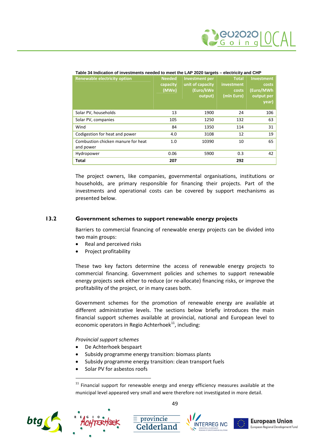| <b>Renewable electricity option</b>             | <b>Needed</b><br>capacity<br>(MWe) | <b>Investment per</b><br>unit of capacity<br>(Euro/kWe<br>output) | <b>Total</b><br>investment<br>costs<br>(mln Euro) | Investment<br>costs<br>(Euro/MWh<br>output per<br>year) |
|-------------------------------------------------|------------------------------------|-------------------------------------------------------------------|---------------------------------------------------|---------------------------------------------------------|
| Solar PV, households                            | 13                                 | 1900                                                              | 24                                                | 106                                                     |
| Solar PV, companies                             | 105                                | 1250                                                              | 132                                               | 63                                                      |
| Wind                                            | 84                                 | 1350                                                              | 114                                               | 31                                                      |
| Codigestion for heat and power                  | 4.0                                | 3108                                                              | 12                                                | 19                                                      |
| Combustion chicken manure for heat<br>and power | 1.0                                | 10390                                                             | 10                                                | 65                                                      |
| Hydropower                                      | 0.06                               | 5900                                                              | 0.3                                               | 42                                                      |
| <b>Total</b>                                    | 207                                |                                                                   | 292                                               |                                                         |

#### <span id="page-51-1"></span>**Table 34 Indication of investments needed to meet the LAP 2020 targets – electricity and CHP**

The project owners, like companies, governmental organisations, institutions or households, are primary responsible for financing their projects. Part of the investments and operational costs can be covered by support mechanisms as presented below.

### **13.2 Government schemes to support renewable energy projects**

<span id="page-51-0"></span>Barriers to commercial financing of renewable energy projects can be divided into two main groups:

- Real and perceived risks
- Project profitability

These two key factors determine the access of renewable energy projects to commercial financing. Government policies and schemes to support renewable energy projects seek either to reduce (or re-allocate) financing risks, or improve the profitability of the project, or in many cases both.

Government schemes for the promotion of renewable energy are available at different administrative levels. The sections below briefly introduces the main financial support schemes available at provincial, national and European level to economic operators in Regio Achterhoek<sup>11</sup>[, i](#page-51-2)ncluding:

*Provincial support schemes*

- De Achterhoek bespaart
- Subsidy programme energy transition: biomass plants
- Subsidy programme energy transition: clean transport fuels

 $\equiv$  provincie

Gelderland

Solar PV for asbestos roofs

<span id="page-51-2"></span> $11$  Financial support for renewable energy and energy efficiency measures available at the municipal level appeared very small and were therefore not investigated in more detail.









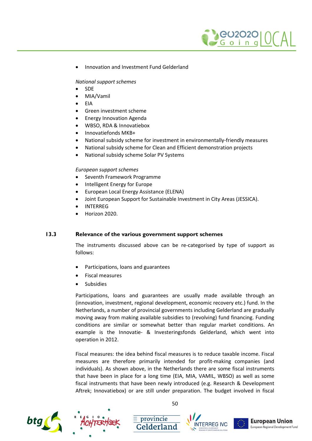

Innovation and Investment Fund Gelderland

*National support schemes*

- SDE
- MIA/Vamil
- EIA
- Green investment scheme
- Energy Innovation Agenda
- WBSO, RDA & Innovatiebox
- Innovatiefonds MKB+
- National subsidy scheme for investment in environmentally-friendly measures
- National subsidy scheme for Clean and Efficient demonstration projects
- National subsidy scheme Solar PV Systems

### *European support schemes*

- Seventh Framework Programme
- Intelligent Energy for Europe
- European Local Energy Assistance (ELENA)
- Joint European Support for Sustainable Investment in City Areas (JESSICA).
- INTERREG
- Horizon 2020.

### **13.3 Relevance of the various government support schemes**

<span id="page-52-0"></span>The instruments discussed above can be re-categorised by type of support as follows:

- Participations, loans and guarantees
- Fiscal measures
- Subsidies

Participations, loans and guarantees are usually made available through an (innovation, investment, regional development, economic recovery etc.) fund. In the Netherlands, a number of provincial governments including Gelderland are gradually moving away from making available subsidies to (revolving) fund financing. Funding conditions are similar or somewhat better than regular market conditions. An example is the Innovatie- & Investeringsfonds Gelderland, which went into operation in 2012.

Fiscal measures: the idea behind fiscal measures is to reduce taxable income. Fiscal measures are therefore primarily intended for profit-making companies (and individuals). As shown above, in the Netherlands there are some fiscal instruments that have been in place for a long time (EIA, MIA, VAMIL, WBSO) as well as some fiscal instruments that have been newly introduced (e.g. Research & Development Aftrek; Innovatiebox) or are still under preparation. The budget involved in fiscal





50

 $\equiv$  provincie





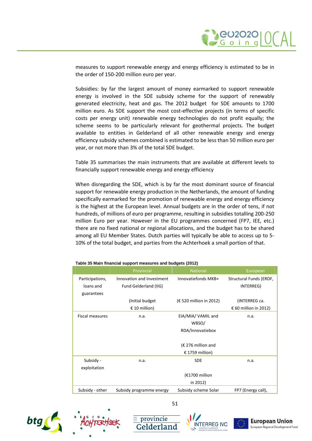

measures to support renewable energy and energy efficiency is estimated to be in the order of 150-200 million euro per year.

Subsidies: by far the largest amount of money earmarked to support renewable energy is involved in the SDE subsidy scheme for the support of renewably generated electricity, heat and gas. The 2012 budget for SDE amounts to 1700 million euro. As SDE support the most cost-effective projects (in terms of specific costs per energy unit) renewable energy technologies do not profit equally; the scheme seems to be particularly relevant for geothermal projects. The budget available to entities in Gelderland of all other renewable energy and energy efficiency subsidy schemes combined is estimated to be less than 50 million euro per year, or not more than 3% of the total SDE budget.

[Table 35](#page-53-0) summarises the main instruments that are available at different levels to financially support renewable energy and energy efficiency

When disregarding the SDE, which is by far the most dominant source of financial support for renewable energy production in the Netherlands, the amount of funding specifically earmarked for the promotion of renewable energy and energy efficiency is the highest at the European level. Annual budgets are in the order of tens, if not hundreds, of millions of euro per programme, resulting in subsidies totalling 200-250 million Euro per year. However in the EU programmes concerned (FP7, IEE, etc.) there are no fixed national or regional allocations, and the budget has to be shared among all EU Member States. Dutch parties will typically be able to access up to 5- 10% of the total budget, and parties from the Achterhoek a small portion of that.

|                        | Provincial                | <b>National</b>         | European                |
|------------------------|---------------------------|-------------------------|-------------------------|
| Participations,        | Innovation and Investment | Innovatiefonds MKB+     | Structural Funds (ERDF, |
| loans and              | Fund Gelderland (IIG)     |                         | INTERREG)               |
| guarantees             |                           |                         |                         |
|                        | (Initial budget)          | (€ 520 million in 2012) | (INTERREG ca.           |
|                        | € 10 million)             |                         | € 60 million in 2012)   |
| <b>Fiscal measures</b> | n.a.                      | EIA/MIA/ VAMIL and      | n.a.                    |
|                        |                           | WBSO/                   |                         |
|                        |                           | RDA/Innovatiebox        |                         |
|                        |                           |                         |                         |
|                        |                           | $(E 276$ million and    |                         |
|                        |                           | € 1759 million)         |                         |
| Subsidy -              | n.a.                      | <b>SDE</b>              | n.a.                    |
| exploitation           |                           |                         |                         |
|                        |                           | $(£1700$ million        |                         |
|                        |                           | in 2012)                |                         |
| Subsidy - other        | Subsidy programme energy  | Subsidy scheme Solar    | FP7 (Energy call),      |

51

<span id="page-53-0"></span>**Table 35 Main financial support measures and budgets (2012)**









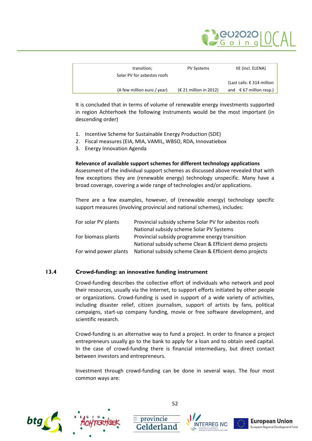

| transition;                 | <b>PV Systems</b>               | IIE (incl. ELENA)                |
|-----------------------------|---------------------------------|----------------------------------|
| Solar PV for asbestos roofs |                                 |                                  |
|                             |                                 | (Last calls: € 314 million       |
| (A few million euro / year) | $(\epsilon$ 21 million in 2012) | and $\epsilon$ 67 million resp.) |

It is concluded that in terms of volume of renewable energy investments supported in region Achterhoek the following instruments would be the most important (in descending order)

- 1. Incentive Scheme for Sustainable Energy Production (SDE)
- 2. Fiscal measures (EIA, MIA, VAMIL, WBSO, RDA, Innovatiebox
- 3. Energy Innovation Agenda

### **Relevance of available support schemes for different technology applications**

Assessment of the individual support schemes as discussed above revealed that with few exceptions they are (renewable energy) technology unspecific. Many have a broad coverage, covering a wide range of technologies and/or applications.

There are a few examples, however, of (renewable energy) technology specific support measures (involving provincial and national schemes), includes:

| For solar PV plants   | Provincial subsidy scheme Solar PV for asbestos roofs   |
|-----------------------|---------------------------------------------------------|
|                       | National subsidy scheme Solar PV Systems                |
| For biomass plants    | Provincial subsidy programme energy transition          |
|                       | National subsidy scheme Clean & Efficient demo projects |
| For wind power plants | National subsidy scheme Clean & Efficient demo projects |

### **13.4 Crowd-funding: an innovative funding instrument**

<span id="page-54-0"></span>Crowd-funding describes the collective effort of individuals who network and pool their resources, usually via the Internet, to support efforts initiated by other people or organizations. Crowd-funding is used in support of a wide variety of activities, including disaster relief, citizen journalism, support of artists by fans, political campaigns, start-up company funding, movie or free software development, and scientific research.

Crowd-funding is an alternative way to fund a project. In order to finance a project entrepreneurs usually go to the bank to apply for a loan and to obtain seed capital. In the case of crowd-funding there is financial intermediary, but direct contact between investors and entrepreneurs.

Investment through crowd-funding can be done in several ways. The four most common ways are:





52

 $\equiv$  provincie





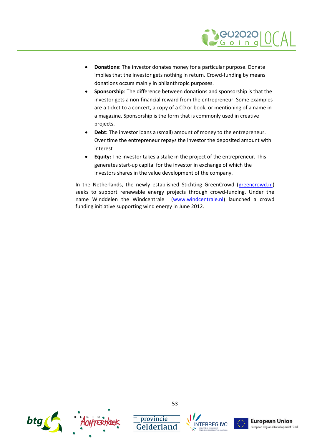

- **Donations**: The investor donates money for a particular purpose. Donate implies that the investor gets nothing in return. Crowd-funding by means donations occurs mainly in philanthropic purposes.
- **Sponsorship**: The difference between donations and sponsorship is that the investor gets a non-financial reward from the entrepreneur. Some examples are a ticket to a concert, a copy of a CD or book, or mentioning of a name in a magazine. Sponsorship is the form that is commonly used in creative projects.
- **Debt:** The investor loans a (small) amount of money to the entrepreneur. Over time the entrepreneur repays the investor the deposited amount with interest
- **Equity:** The investor takes a stake in the project of the entrepreneur. This generates start-up capital for the investor in exchange of which the investors shares in the value development of the company.

In the Netherlands, the newly established Stichting GreenCrowd [\(greencrowd.nl\)](http://greencrowd.nl/) seeks to support renewable energy projects through crowd-funding. Under the name Winddelen the Windcentrale([www.windcentrale.nl](http://www.windcentrale.nl/)) launched a crowd funding initiative supporting wind energy in June 2012.



 $\equiv$  provincie